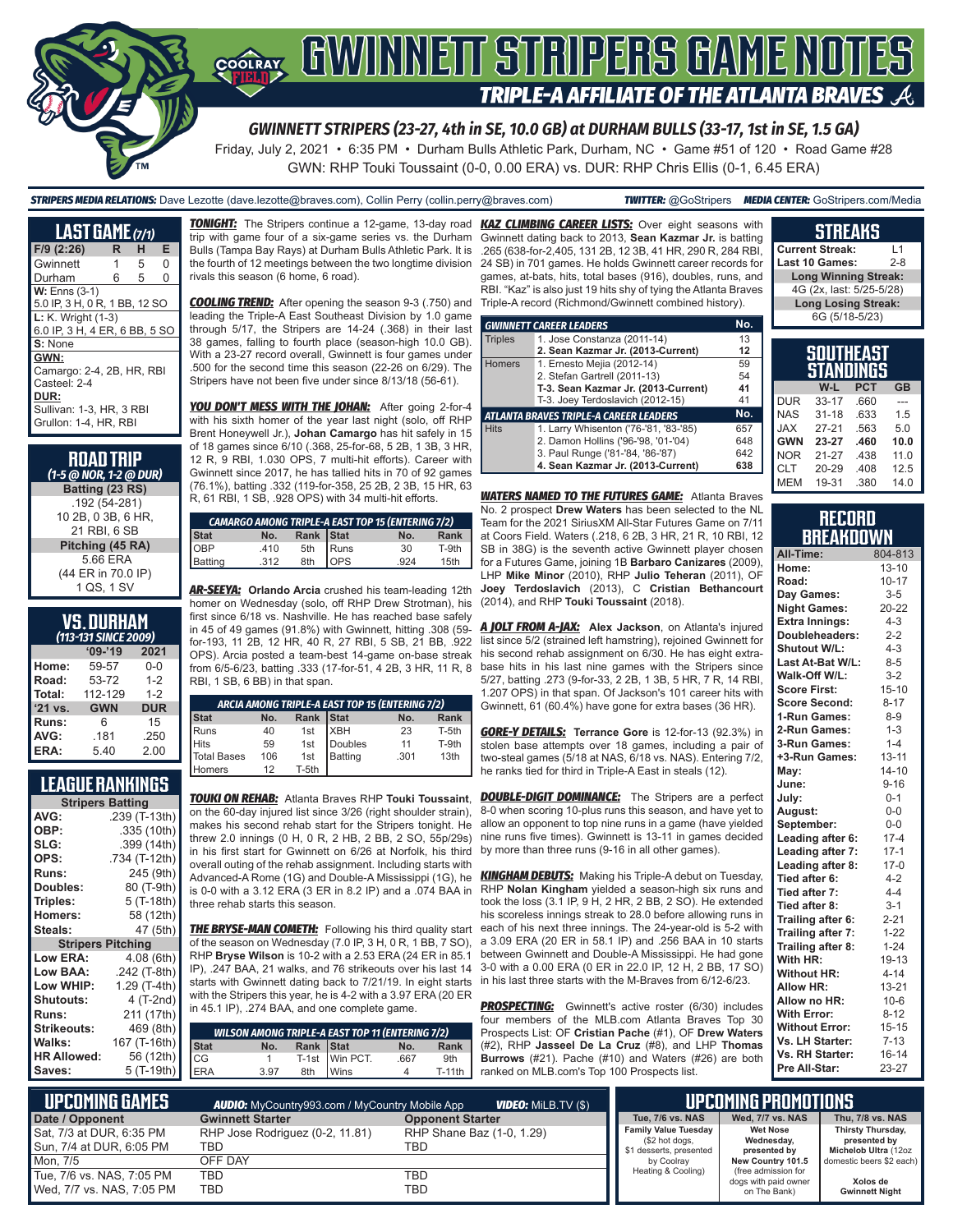

# COORAY GWINNEIT STRIPERS GAME NOTES **TRIPLE-A AFFILIATE OF THE ATLANTA BRAVES A**

*GWINNETT STRIPERS (23-27, 4th in SE, 10.0 GB) at DURHAM BULLS (33-17, 1st in SE, 1.5 GA)*

Friday, July 2, 2021 • 6:35 PM • Durham Bulls Athletic Park, Durham, NC • Game #51 of 120 • Road Game #28 GWN: RHP Touki Toussaint (0-0, 0.00 ERA) vs. DUR: RHP Chris Ellis (0-1, 6.45 ERA)

*STRIPERS MEDIA RELATIONS:* Dave Lezotte (dave.lezotte@braves.com), Collin Perry (collin.perry@braves.com) *TWITTER:* @GoStripers *MEDIA CENTER:* GoStripers.com/Media

#### **LAST GAME** *(7/1)* **F/9 (2:26) R H E** Gwinnett 1 Durham 6 5 0 **W:** Enns (3-1) 5.0 IP, 3 H, 0 R, 1 BB, 12 SO **L:** K. Wright (1-3) 6.0 IP, 3 H, 4 ER, 6 BB, 5 SO **S:** None **GWN:** Camargo: 2-4, 2B, HR, RBI Casteel: 2-4 **DUR:** Sullivan: 1-3, HR, 3 RBI Grullon: 1-4, HR, RBI

#### **ROAD TRIP**  *(1-5 @ NOR, 1-2 @ DUR)*

**Batting (23 RS)** .192 (54-281) 10 2B, 0 3B, 6 HR, 21 RBI, 6 SB **Pitching (45 RA)** 5.66 ERA (44 ER in 70.0 IP) 1 QS, 1 SV

# **VS. DURHAM**

| (113-131 SINCE 2009) |            |            |  |  |  |  |  |  |  |
|----------------------|------------|------------|--|--|--|--|--|--|--|
|                      | $09 - 19$  | 2021       |  |  |  |  |  |  |  |
| Home:                | 59-57      | $0 - 0$    |  |  |  |  |  |  |  |
| Road:                | 53-72      | $1 - 2$    |  |  |  |  |  |  |  |
| Total:               | 112-129    | $1 - 2$    |  |  |  |  |  |  |  |
| '21 vs.              | <b>GWN</b> | <b>DUR</b> |  |  |  |  |  |  |  |
| Runs:                | 6          | 15         |  |  |  |  |  |  |  |
| AVG:                 | .181       | .250       |  |  |  |  |  |  |  |
| ERA:                 | 5.40       | 2.00       |  |  |  |  |  |  |  |

## **LEAGUE RANKINGS**

| <b>Stripers Batting</b>  |               |
|--------------------------|---------------|
| AVG:                     | .239 (T-13th) |
| OBP:                     | .335 (10th)   |
| SLG:                     | .399 (14th)   |
| OPS:                     | .734 (T-12th) |
| <b>Runs:</b>             | 245 (9th)     |
| Doubles:                 | 80 (T-9th)    |
| Triples:                 | 5 (T-18th)    |
| <b>Homers:</b>           | 58 (12th)     |
| Steals:                  | 47 (5th)      |
| <b>Stripers Pitching</b> |               |
| <b>Low ERA:</b>          | 4.08 (6th)    |
| Low BAA:                 | .242 (T-8th)  |
| Low WHIP:                | 1.29 (T-4th)  |
| <b>Shutouts:</b>         | 4 (T-2nd)     |
| <b>Runs:</b>             | 211 (17th)    |
| Strikeouts:              | 469 (8th)     |
| Walks:                   | 167 (T-16th)  |
| <b>HR Allowed:</b>       | 56 (12th)     |
| Saves:                   | 5 (T-19th)    |

trip with game four of a six-game series vs. the Durham Bulls (Tampa Bay Rays) at Durham Bulls Athletic Park. It is the fourth of 12 meetings between the two longtime division rivals this season (6 home, 6 road).

*COOLING TREND:* After opening the season 9-3 (.750) and leading the Triple-A East Southeast Division by 1.0 game through 5/17, the Stripers are 14-24 (.368) in their last 38 games, falling to fourth place (season-high 10.0 GB). With a 23-27 record overall, Gwinnett is four games under .500 for the second time this season (22-26 on 6/29). The Stripers have not been five under since 8/13/18 (56-61).

*YOU DON'T MESS WITH THE JOHAN:* After going 2-for-4 with his sixth homer of the year last night (solo, off RHP Brent Honeywell Jr.), **Johan Camargo** has hit safely in 15 of 18 games since 6/10 (.368, 25-for-68, 5 2B, 1 3B, 3 HR, 12 R, 9 RBI, 1.030 OPS, 7 multi-hit efforts). Career with Gwinnett since 2017, he has tallied hits in 70 of 92 games (76.1%), batting .332 (119-for-358, 25 2B, 2 3B, 15 HR, 63 R, 61 RBI, 1 SB, .928 OPS) with 34 multi-hit efforts.

| <b>CAMARGO AMONG TRIPLE-A EAST TOP 15 (ENTERING 7/2)</b> |  |                                                     |  |      |       |  |  |  |  |
|----------------------------------------------------------|--|-----------------------------------------------------|--|------|-------|--|--|--|--|
|                                                          |  |                                                     |  | No.  | Rank  |  |  |  |  |
|                                                          |  |                                                     |  | 30   | T-9th |  |  |  |  |
| Stat<br>OBP<br>Batting                                   |  | <b>No.</b> Rank Stat<br>410 5th Runs<br>312 8th OPS |  | .924 | 15th  |  |  |  |  |

*AR-SEEYA:* **Orlando Arcia** crushed his team-leading 12th homer on Wednesday (solo, off RHP Drew Strotman), his first since 6/18 vs. Nashville. He has reached base safely in 45 of 49 games (91.8%) with Gwinnett, hitting .308 (59 for-193, 11 2B, 12 HR, 40 R, 27 RBI, 5 SB, 21 BB, .922 OPS). Arcia posted a team-best 14-game on-base streak from 6/5-6/23, batting .333 (17-for-51, 4 2B, 3 HR, 11 R, 8 RBI, 1 SB, 6 BB) in that span.

| ARCIA AMONG TRIPLE-A EAST TOP 15 (ENTERING 7/2) |     |       |            |      |       |  |  |  |  |
|-------------------------------------------------|-----|-------|------------|------|-------|--|--|--|--|
| <b>Stat</b>                                     | No. | Rank  | Stat       | No.  | Rank  |  |  |  |  |
| <b>I</b> Runs                                   | 40  | 1st   | <b>XBH</b> | 23   | T-5th |  |  |  |  |
| <b>Hits</b>                                     | 59  | 1st   | Doubles    | 11   | T-9th |  |  |  |  |
| Total Bases                                     | 106 | 1st   | Batting    | .301 | 13th  |  |  |  |  |
| Homers                                          | 12  | T-5th |            |      |       |  |  |  |  |

*TOUKI ON REHAB:* Atlanta Braves RHP **Touki Toussaint**, on the 60-day injured list since 3/26 (right shoulder strain), makes his second rehab start for the Stripers tonight. He threw 2.0 innings (0 H, 0 R, 2 HB, 2 BB, 2 SO, 55p/29s) in his first start for Gwinnett on 6/26 at Norfolk, his third overall outing of the rehab assignment. Including starts with Advanced-A Rome (1G) and Double-A Mississippi (1G), he is 0-0 with a 3.12 ERA (3 ER in 8.2 IP) and a .074 BAA in three rehab starts this season.

**THE BRYSE-MAN COMETH:** Following his third quality start of the season on Wednesday (7.0 IP, 3 H, 0 R, 1 BB, 7 SO), RHP **Bryse Wilson** is 10-2 with a 2.53 ERA (24 ER in 85.1 IP), .247 BAA, 21 walks, and 76 strikeouts over his last 14 starts with Gwinnett dating back to 7/21/19. In eight starts with the Stripers this year, he is 4-2 with a 3.97 ERA (20 ER in 45.1 IP), .274 BAA, and one complete game.

| . |                                                                                                                                                                                                   |      |           |                                                         |      |                 |
|---|---------------------------------------------------------------------------------------------------------------------------------------------------------------------------------------------------|------|-----------|---------------------------------------------------------|------|-----------------|
|   | $\begin{array}{c}\n \stackrel{\cdot}{(8th)} \\ \hline\n 6th) \\ 2th) \\ \hline\n 9th)\n\end{array}\n\quad\n\begin{array}{c}\n \text{Stat} \\ \text{Stat} \\ \text{CG} \\ \text{ERA}\n\end{array}$ |      |           | <b>WILSON AMONG TRIPLE-A EAST TOP 11 (ENTERING 7/2)</b> |      |                 |
|   | <b>Stat</b>                                                                                                                                                                                       | No.  | Rank Stat |                                                         | No.  | <b>Rank</b>     |
|   |                                                                                                                                                                                                   |      |           | T-1st Win PCT.                                          | .667 | 9 <sub>th</sub> |
|   | ERA                                                                                                                                                                                               | 3.97 |           | 8th Wins                                                |      | $T-11$ th       |
|   |                                                                                                                                                                                                   |      |           |                                                         |      |                 |

*TONIGHT:* The Stripers continue a 12-game, 13-day road *KAZ CLIMBING CAREER LISTS:* Over eight seasons with Gwinnett dating back to 2013, **Sean Kazmar Jr.** is batting .265 (638-for-2,405, 131 2B, 12 3B, 41 HR, 290 R, 284 RBI, 24 SB) in 701 games. He holds Gwinnett career records for games, at-bats, hits, total bases (916), doubles, runs, and RBI. "Kaz" is also just 19 hits shy of tying the Atlanta Braves Triple-A record (Richmond/Gwinnett combined history).

|                | <b>GWINNETT CAREER LEADERS</b>                | No. |
|----------------|-----------------------------------------------|-----|
| <b>Triples</b> | 1. Jose Constanza (2011-14)                   | 13  |
|                | 2. Sean Kazmar Jr. (2013-Current)             | 12  |
| <b>Homers</b>  | 1. Ernesto Mejia (2012-14)                    | 59  |
|                | 2. Stefan Gartrell (2011-13)                  | 54  |
|                | T-3. Sean Kazmar Jr. (2013-Current)           | 41  |
|                | T-3. Joey Terdoslavich (2012-15)              | 41  |
|                | <b>ATLANTA BRAVES TRIPLE-A CAREER LEADERS</b> | No. |
| <b>Hits</b>    | 1. Larry Whisenton ('76-'81, '83-'85)         | 657 |
|                | 2. Damon Hollins ('96-'98, '01-'04)           | 648 |
|                | 3. Paul Runge ('81-'84, '86-'87)              | 642 |
|                | 4. Sean Kazmar Jr. (2013-Current)             | 638 |

*WATERS NAMED TO THE FUTURES GAME:* Atlanta Braves No. 2 prospect **Drew Waters** has been selected to the NL Team for the 2021 SiriusXM All-Star Futures Game on 7/11 at Coors Field. Waters (.218, 6 2B, 3 HR, 21 R, 10 RBI, 12 SB in 38G) is the seventh active Gwinnett player chosen for a Futures Game, joining 1B **Barbaro Canizares** (2009), LHP **Mike Minor** (2010), RHP **Julio Teheran** (2011), OF **Joey Terdoslavich** (2013), C **Cristian Bethancourt** (2014), and RHP **Touki Toussaint** (2018).

*A JOLT FROM A-JAX:* **Alex Jackson**, on Atlanta's injured list since 5/2 (strained left hamstring), rejoined Gwinnett for his second rehab assignment on 6/30. He has eight extrabase hits in his last nine games with the Stripers since 5/27, batting .273 (9-for-33, 2 2B, 1 3B, 5 HR, 7 R, 14 RBI, 1.207 OPS) in that span. Of Jackson's 101 career hits with Gwinnett, 61 (60.4%) have gone for extra bases (36 HR).

*GORE-Y DETAILS:* **Terrance Gore** is 12-for-13 (92.3%) in stolen base attempts over 18 games, including a pair of two-steal games (5/18 at NAS, 6/18 vs. NAS). Entering 7/2, he ranks tied for third in Triple-A East in steals (12).

**DOUBLE-DIGIT DOMINANCE:** The Stripers are a perfect 8-0 when scoring 10-plus runs this season, and have yet to allow an opponent to top nine runs in a game (have yielded nine runs five times). Gwinnett is 13-11 in games decided by more than three runs (9-16 in all other games).

*KINGHAM DEBUTS:* Making his Triple-A debut on Tuesday, RHP **Nolan Kingham** yielded a season-high six runs and took the loss (3.1 IP, 9 H, 2 HR, 2 BB, 2 SO). He extended his scoreless innings streak to 28.0 before allowing runs in each of his next three innings. The 24-year-old is 5-2 with a 3.09 ERA (20 ER in 58.1 IP) and .256 BAA in 10 starts between Gwinnett and Double-A Mississippi. He had gone 3-0 with a 0.00 ERA (0 ER in 22.0 IP, 12 H, 2 BB, 17 SO) in his last three starts with the M-Braves from 6/12-6/23.

**PROSPECTING:** Gwinnett's active roster (6/30) includes four members of the MLB.com Atlanta Braves Top 30 Prospects List: OF **Cristian Pache** (#1), OF **Drew Waters** (#2), RHP **Jasseel De La Cruz** (#8), and LHP **Thomas Burrows** (#21). Pache (#10) and Waters (#26) are both ranked on MLB.com's Top 100 Prospects list.

## **STREAKS**

**Current Streak:** L1 Last 10 Games: **Long Winning Streak:** 4G (2x, last: 5/25-5/28) **Long Losing Streak:** 6G (5/18-5/23)

|            | SOUTHEAST<br>STANDINGS |            |           |
|------------|------------------------|------------|-----------|
|            | W-L                    | <b>PCT</b> | <b>GB</b> |
| <b>DUR</b> | $33 - 17$              | .660       |           |
| <b>NAS</b> | $31 - 18$              | .633       | 1.5       |
| <b>JAX</b> | $27 - 21$              | .563       | 5.0       |
| <b>GWN</b> | 23-27                  | .460       | 10.0      |
| <b>NOR</b> | 21-27                  | .438       | 11.0      |
| <b>CLT</b> | 20-29                  | .408       | 12.5      |
| <b>MEM</b> | 19-31                  | .380       | 14.0      |

### **RECORD RRFAKNOWN**

| All-Time:             | 804-813   |
|-----------------------|-----------|
| Home:                 | $13 - 10$ |
| Road:                 | $10 - 17$ |
| Day Games:            | $3 - 5$   |
| <b>Night Games:</b>   | 20-22     |
| <b>Extra Innings:</b> | $4 - 3$   |
| Doubleheaders:        | $2 - 2$   |
| <b>Shutout W/L:</b>   | $4 - 3$   |
| Last At-Bat W/L:      | $8 - 5$   |
| Walk-Off W/L:         | $3-2$     |
| <b>Score First:</b>   | $15 - 10$ |
| <b>Score Second:</b>  | $8 - 17$  |
| 1-Run Games:          | $8 - 9$   |
| 2-Run Games:          | $1 - 3$   |
| 3-Run Games:          | $1 - 4$   |
| +3-Run Games:         | $13 - 11$ |
| May:                  | $14 - 10$ |
| June:                 | $9 - 16$  |
| July:                 | $0 - 1$   |
| August:               | $0-0$     |
| September:            | $0 - 0$   |
| Leading after 6:      | $17 - 4$  |
| Leading after 7:      | $17 - 1$  |
| Leading after 8:      | $17-0$    |
| Tied after 6:         | $4 - 2$   |
| Tied after 7:         | $4 - 4$   |
| Tied after 8:         | $3 - 1$   |
| Trailing after 6:     | $2 - 21$  |
| Trailing after 7:     | $1 - 22$  |
| Trailing after 8:     | $1 - 24$  |
| With HR:              | 19-13     |
| <b>Without HR:</b>    | $4 - 14$  |
| <b>Allow HR:</b>      | $13 - 21$ |
| Allow no HR:          | $10 - 6$  |
| <b>With Error:</b>    | $8 - 12$  |
| <b>Without Error:</b> | 15-15     |
| Vs. LH Starter:       | $7 - 13$  |
| Vs. RH Starter:       | $16 - 14$ |
| Pre All-Star:         | 23-27     |

| I UPCOMING GAMES I        | <b>AUDIO:</b> MyCountry993.com / MyCountry Mobile App | <b>VIDEO:</b> MiLB.TV (\$) |                                               | <b>UPCOMING PROMOTIONS</b>               |                                   |
|---------------------------|-------------------------------------------------------|----------------------------|-----------------------------------------------|------------------------------------------|-----------------------------------|
| Date / Opponent           | <b>Gwinnett Starter</b>                               | <b>Opponent Starter</b>    | Tue, 7/6 vs. NAS                              | Wed. 7/7 vs. NAS                         | Thu, 7/8 vs. NAS                  |
| Sat, 7/3 at DUR, 6:35 PM  | RHP Jose Rodriguez (0-2, 11.81)                       | RHP Shane Baz (1-0, 1.29)  | <b>Family Value Tuesday</b><br>(\$2 hot dogs, | <b>Wet Nose</b><br>Wednesday,            | Thirsty Thursday,<br>presented by |
| Sun, 7/4 at DUR, 6:05 PM  | TBD                                                   | TBD                        | \$1 desserts, presented                       | presented by                             | Michelob Ultra (12oz              |
| Mon. 7/5                  | OFF DAY                                               |                            | by Coolrav<br>Heating & Cooling)              | New Country 101.5<br>(free admission for | domestic beers \$2 each)          |
| Tue, 7/6 vs. NAS, 7:05 PM | <b>TBD</b>                                            | TBD                        |                                               | dogs with paid owner                     | Xolos de                          |
| Wed, 7/7 vs. NAS, 7:05 PM | <b>TBD</b>                                            | TBD                        |                                               | on The Bank)                             | <b>Gwinnett Night</b>             |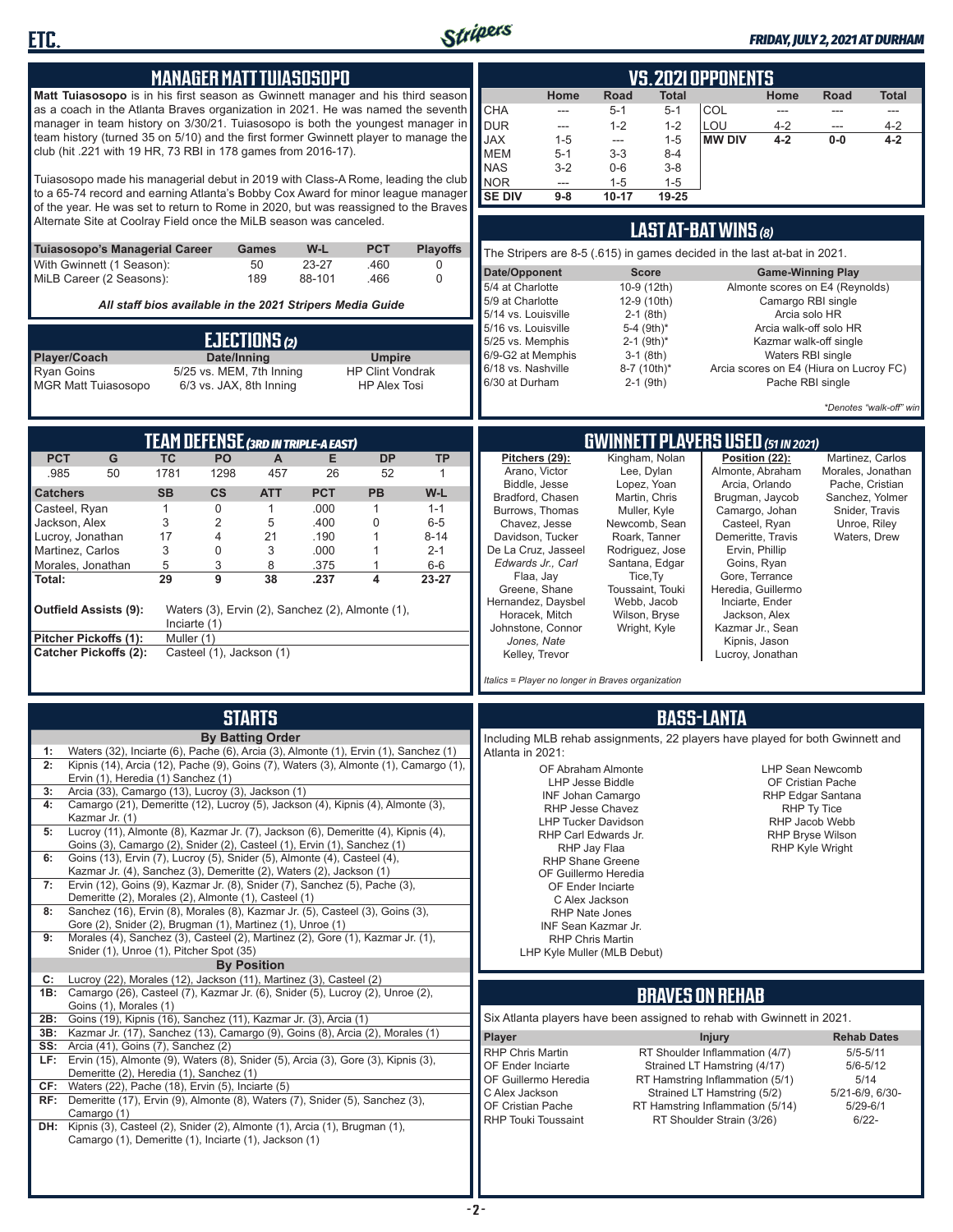

**ETC.**

| <u>Manager Matt Tuiasosopo</u>                                                |                                                                          |              |                                                     |                         |                                                           | <b>VS. 2021 OPPONENTS</b>                                                                                                                                               |                                                                                                                                                                       |                                         |                                                                               |                |                                   |                                                                 |                                     |                                         |                                   |
|-------------------------------------------------------------------------------|--------------------------------------------------------------------------|--------------|-----------------------------------------------------|-------------------------|-----------------------------------------------------------|-------------------------------------------------------------------------------------------------------------------------------------------------------------------------|-----------------------------------------------------------------------------------------------------------------------------------------------------------------------|-----------------------------------------|-------------------------------------------------------------------------------|----------------|-----------------------------------|-----------------------------------------------------------------|-------------------------------------|-----------------------------------------|-----------------------------------|
|                                                                               |                                                                          |              |                                                     |                         |                                                           | Matt Tuiasosopo is in his first season as Gwinnett manager and his third season                                                                                         |                                                                                                                                                                       |                                         | Home                                                                          | Road           | <b>Total</b>                      |                                                                 | Home                                | Road                                    | <b>Total</b>                      |
|                                                                               |                                                                          |              |                                                     |                         |                                                           | as a coach in the Atlanta Braves organization in 2021. He was named the seventh                                                                                         |                                                                                                                                                                       | <b>CHA</b>                              | ---                                                                           | 5-1            | $5 - 1$                           | COL                                                             | ---                                 | $---$                                   | ---                               |
|                                                                               |                                                                          |              |                                                     |                         |                                                           |                                                                                                                                                                         | manager in team history on 3/30/21. Tuiasosopo is both the youngest manager in<br>team history (turned 35 on 5/10) and the first former Gwinnett player to manage the | <b>DUR</b>                              | ---                                                                           | $1 - 2$        | $1 - 2$                           | LOU                                                             | $4 - 2$                             |                                         | $4 - 2$                           |
| club (hit .221 with 19 HR, 73 RBI in 178 games from 2016-17).                 |                                                                          |              |                                                     |                         |                                                           |                                                                                                                                                                         |                                                                                                                                                                       | <b>JAX</b><br><b>MEM</b>                | $1 - 5$<br>$5 - 1$                                                            | ---<br>$3 - 3$ | $1 - 5$<br>8-4                    | <b>MW DIV</b>                                                   | $4 - 2$                             | $0-0$                                   | $4 - 2$                           |
|                                                                               |                                                                          |              |                                                     |                         |                                                           |                                                                                                                                                                         |                                                                                                                                                                       | <b>NAS</b>                              | $3 - 2$                                                                       | $0-6$          | $3 - 8$                           |                                                                 |                                     |                                         |                                   |
|                                                                               |                                                                          |              |                                                     |                         |                                                           | Tuiasosopo made his managerial debut in 2019 with Class-A Rome, leading the club                                                                                        |                                                                                                                                                                       | NOR                                     | ---                                                                           | $1 - 5$        | $1 - 5$                           |                                                                 |                                     |                                         |                                   |
|                                                                               |                                                                          |              |                                                     |                         |                                                           | to a 65-74 record and earning Atlanta's Bobby Cox Award for minor league manager<br>of the year. He was set to return to Rome in 2020, but was reassigned to the Braves |                                                                                                                                                                       | <b>SE DIV</b>                           | $9-8$                                                                         | $10 - 17$      | 19-25                             |                                                                 |                                     |                                         |                                   |
| Alternate Site at Coolray Field once the MiLB season was canceled.            |                                                                          |              |                                                     |                         |                                                           |                                                                                                                                                                         |                                                                                                                                                                       |                                         |                                                                               |                |                                   |                                                                 |                                     |                                         |                                   |
|                                                                               |                                                                          |              |                                                     |                         |                                                           |                                                                                                                                                                         |                                                                                                                                                                       |                                         |                                                                               |                |                                   | LAST AT-BAT WINS (8)                                            |                                     |                                         |                                   |
| Tuiasosopo's Managerial Career                                                |                                                                          |              |                                                     | Games                   | W-L                                                       | <b>PCT</b>                                                                                                                                                              | <b>Playoffs</b>                                                                                                                                                       |                                         | The Stripers are 8-5 (.615) in games decided in the last at-bat in 2021.      |                |                                   |                                                                 |                                     |                                         |                                   |
| With Gwinnett (1 Season):<br>MiLB Career (2 Seasons):                         |                                                                          |              |                                                     | 50<br>189               | 23-27<br>88-101                                           | .460<br>.466                                                                                                                                                            | 0<br>0                                                                                                                                                                | Date/Opponent                           |                                                                               |                | <b>Score</b>                      |                                                                 | <b>Game-Winning Play</b>            |                                         |                                   |
|                                                                               |                                                                          |              |                                                     |                         |                                                           |                                                                                                                                                                         |                                                                                                                                                                       | 5/4 at Charlotte                        |                                                                               |                | 10-9 (12th)                       |                                                                 |                                     | Almonte scores on E4 (Reynolds)         |                                   |
|                                                                               |                                                                          |              |                                                     |                         | All staff bios available in the 2021 Stripers Media Guide |                                                                                                                                                                         |                                                                                                                                                                       | 5/9 at Charlotte<br>5/14 vs. Louisville |                                                                               |                | 12-9 (10th)<br>$2-1$ (8th)        |                                                                 | Camargo RBI single<br>Arcia solo HR |                                         |                                   |
|                                                                               |                                                                          |              |                                                     |                         |                                                           |                                                                                                                                                                         |                                                                                                                                                                       | 5/16 vs. Louisville                     |                                                                               |                | 5-4 $(9th)*$                      |                                                                 |                                     | Arcia walk-off solo HR                  |                                   |
|                                                                               |                                                                          |              |                                                     | EJECTIONS(2)            |                                                           |                                                                                                                                                                         |                                                                                                                                                                       | 5/25 vs. Memphis                        |                                                                               |                | $2-1$ (9th) <sup>*</sup>          |                                                                 |                                     | Kazmar walk-off single                  |                                   |
| Player/Coach                                                                  |                                                                          |              | Date/Inning                                         |                         |                                                           | <b>Umpire</b>                                                                                                                                                           |                                                                                                                                                                       | 6/18 vs. Nashville                      | 6/9-G2 at Memphis                                                             |                | $3-1$ (8th)<br>8-7 (10th)*        |                                                                 | Waters RBI single                   | Arcia scores on E4 (Hiura on Lucroy FC) |                                   |
| <b>Ryan Goins</b><br><b>MGR Matt Tuiasosopo</b>                               |                                                                          |              | 5/25 vs. MEM, 7th Inning<br>6/3 vs. JAX, 8th Inning |                         |                                                           | <b>HP Clint Vondrak</b><br><b>HP Alex Tosi</b>                                                                                                                          |                                                                                                                                                                       | 6/30 at Durham                          |                                                                               |                | $2-1$ (9th)                       |                                                                 | Pache RBI single                    |                                         |                                   |
|                                                                               |                                                                          |              |                                                     |                         |                                                           |                                                                                                                                                                         |                                                                                                                                                                       |                                         |                                                                               |                |                                   |                                                                 |                                     |                                         |                                   |
|                                                                               |                                                                          |              |                                                     |                         |                                                           |                                                                                                                                                                         |                                                                                                                                                                       |                                         |                                                                               |                |                                   |                                                                 |                                     |                                         | *Denotes "walk-off" win           |
|                                                                               |                                                                          |              |                                                     |                         | <b>TEAM DEFENSE (3RD IN TRIPLE-A EAST)</b>                |                                                                                                                                                                         |                                                                                                                                                                       |                                         |                                                                               |                |                                   | <b>GWINNETT PLAYERS USED (51 IN 2021)</b>                       |                                     |                                         |                                   |
| <b>PCT</b>                                                                    | G                                                                        | <b>TC</b>    | PO                                                  | A                       | Е                                                         | <b>DP</b>                                                                                                                                                               | <b>TP</b>                                                                                                                                                             |                                         | Pitchers (29):                                                                |                | Kingham, Nolan                    |                                                                 | Position (22):                      |                                         | Martinez, Carlos                  |
| .985                                                                          | 50                                                                       | 1781         | 1298                                                | 457                     | 26                                                        | 52                                                                                                                                                                      | $\mathbf{1}$                                                                                                                                                          |                                         | Arano, Victor                                                                 |                | Lee, Dylan                        |                                                                 | Almonte, Abraham                    |                                         | Morales, Jonathan                 |
| <b>Catchers</b>                                                               |                                                                          | <b>SB</b>    | $\mathsf{cs}$                                       | <b>ATT</b>              | <b>PCT</b>                                                | <b>PB</b>                                                                                                                                                               | W-L                                                                                                                                                                   |                                         | Biddle, Jesse                                                                 |                | Lopez, Yoan                       |                                                                 | Arcia, Orlando                      |                                         | Pache, Cristian                   |
| Casteel, Ryan                                                                 |                                                                          | $\mathbf{1}$ | 0                                                   | $\mathbf{1}$            | .000                                                      | $\mathbf{1}$                                                                                                                                                            | $1 - 1$                                                                                                                                                               |                                         | Bradford, Chasen<br>Burrows, Thomas                                           |                | Martin, Chris<br>Muller, Kyle     |                                                                 | Brugman, Jaycob<br>Camargo, Johan   |                                         | Sanchez, Yolmer<br>Snider, Travis |
| Jackson, Alex                                                                 |                                                                          | 3            | $\overline{2}$                                      | 5                       | .400                                                      | $\mathbf 0$                                                                                                                                                             | $6-5$                                                                                                                                                                 |                                         | Chavez, Jesse                                                                 |                | Newcomb, Sean                     |                                                                 | Casteel, Ryan                       |                                         | Unroe, Riley                      |
| Lucroy, Jonathan                                                              |                                                                          | 17           | 4                                                   | 21                      | .190                                                      | 1                                                                                                                                                                       | $8 - 14$                                                                                                                                                              |                                         | Davidson, Tucker                                                              |                | Roark, Tanner                     |                                                                 | Demeritte, Travis                   |                                         | Waters, Drew                      |
| Martinez, Carlos<br>Morales, Jonathan                                         |                                                                          | 3<br>5       | 0<br>3                                              | 3<br>8                  | .000<br>.375                                              | $\mathbf{1}$<br>1                                                                                                                                                       | $2 - 1$<br>$6-6$                                                                                                                                                      |                                         | De La Cruz, Jasseel<br>Edwards Jr., Carl                                      |                | Rodriguez, Jose<br>Santana, Edgar |                                                                 | Ervin, Phillip<br>Goins, Ryan       |                                         |                                   |
| Total:                                                                        |                                                                          | 29           | 9                                                   | 38                      | .237                                                      | 4                                                                                                                                                                       | 23-27                                                                                                                                                                 |                                         | Flaa, Jay                                                                     |                | Tice, Ty                          |                                                                 | Gore, Terrance                      |                                         |                                   |
|                                                                               |                                                                          |              |                                                     |                         |                                                           |                                                                                                                                                                         |                                                                                                                                                                       |                                         | Greene, Shane                                                                 |                | Toussaint, Touki                  |                                                                 | Heredia, Guillermo                  |                                         |                                   |
| Outfield Assists (9):                                                         |                                                                          |              |                                                     |                         |                                                           | Waters (3), Ervin (2), Sanchez (2), Almonte (1),                                                                                                                        |                                                                                                                                                                       |                                         | Hernandez, Daysbel<br>Horacek, Mitch                                          |                | Webb, Jacob<br>Wilson, Bryse      |                                                                 | Inciarte, Ender<br>Jackson, Alex    |                                         |                                   |
|                                                                               |                                                                          | Inciarte (1) |                                                     |                         |                                                           |                                                                                                                                                                         |                                                                                                                                                                       |                                         | Johnstone, Connor                                                             |                | Wright, Kyle                      |                                                                 | Kazmar Jr., Sean                    |                                         |                                   |
| Pitcher Pickoffs (1):<br><b>Catcher Pickoffs (2):</b>                         |                                                                          | Muller (1)   | Casteel (1), Jackson (1)                            |                         |                                                           |                                                                                                                                                                         |                                                                                                                                                                       |                                         | Jones, Nate<br>Kelley, Trevor                                                 |                |                                   |                                                                 | Kipnis, Jason<br>Lucroy, Jonathan   |                                         |                                   |
|                                                                               |                                                                          |              |                                                     |                         |                                                           |                                                                                                                                                                         |                                                                                                                                                                       |                                         |                                                                               |                |                                   |                                                                 |                                     |                                         |                                   |
|                                                                               |                                                                          |              |                                                     |                         |                                                           |                                                                                                                                                                         |                                                                                                                                                                       |                                         | Italics = Player no longer in Braves organization                             |                |                                   |                                                                 |                                     |                                         |                                   |
|                                                                               |                                                                          |              |                                                     |                         |                                                           |                                                                                                                                                                         |                                                                                                                                                                       |                                         |                                                                               |                |                                   |                                                                 |                                     |                                         |                                   |
|                                                                               |                                                                          |              |                                                     | <b>STARTS</b>           |                                                           |                                                                                                                                                                         |                                                                                                                                                                       |                                         |                                                                               |                |                                   | <b>BASS-LANTA</b>                                               |                                     |                                         |                                   |
|                                                                               |                                                                          |              |                                                     | <b>By Batting Order</b> |                                                           |                                                                                                                                                                         |                                                                                                                                                                       |                                         | Including MLB rehab assignments, 22 players have played for both Gwinnett and |                |                                   |                                                                 |                                     |                                         |                                   |
| 1:<br>2:                                                                      |                                                                          |              |                                                     |                         |                                                           | Waters (32), Inciarte (6), Pache (6), Arcia (3), Almonte (1), Ervin (1), Sanchez (1)                                                                                    |                                                                                                                                                                       | Atlanta in 2021:                        |                                                                               |                |                                   |                                                                 |                                     |                                         |                                   |
|                                                                               | Ervin (1), Heredia (1) Sanchez (1)                                       |              |                                                     |                         |                                                           | Kipnis (14), Arcia (12), Pache (9), Goins (7), Waters (3), Almonte (1), Camargo (1),                                                                                    |                                                                                                                                                                       |                                         | OF Abraham Almonte                                                            |                |                                   |                                                                 |                                     | <b>LHP Sean Newcomb</b>                 |                                   |
| 3:                                                                            | Arcia (33), Camargo (13), Lucroy (3), Jackson (1)                        |              |                                                     |                         |                                                           |                                                                                                                                                                         |                                                                                                                                                                       |                                         | LHP Jesse Biddle<br>INF Johan Camargo                                         |                |                                   |                                                                 |                                     | OF Cristian Pache<br>RHP Edgar Santana  |                                   |
| 4:                                                                            |                                                                          |              |                                                     |                         |                                                           | Camargo (21), Demeritte (12), Lucroy (5), Jackson (4), Kipnis (4), Almonte (3),                                                                                         |                                                                                                                                                                       |                                         | RHP Jesse Chavez                                                              |                |                                   |                                                                 |                                     | RHP Ty Tice                             |                                   |
| 5:                                                                            | Kazmar Jr. (1)                                                           |              |                                                     |                         |                                                           | Lucroy (11), Almonte (8), Kazmar Jr. (7), Jackson (6), Demeritte (4), Kipnis (4),                                                                                       |                                                                                                                                                                       |                                         | <b>LHP Tucker Davidson</b><br>RHP Carl Edwards Jr.                            |                |                                   |                                                                 |                                     | RHP Jacob Webb<br>RHP Bryse Wilson      |                                   |
|                                                                               | Goins (3), Camargo (2), Snider (2), Casteel (1), Ervin (1), Sanchez (1)  |              |                                                     |                         |                                                           |                                                                                                                                                                         |                                                                                                                                                                       |                                         | RHP Jay Flaa                                                                  |                |                                   |                                                                 |                                     | <b>RHP Kyle Wright</b>                  |                                   |
| 6:                                                                            | Goins (13), Ervin (7), Lucroy (5), Snider (5), Almonte (4), Casteel (4), |              |                                                     |                         |                                                           |                                                                                                                                                                         |                                                                                                                                                                       |                                         | <b>RHP Shane Greene</b>                                                       |                |                                   |                                                                 |                                     |                                         |                                   |
| 7:                                                                            | Kazmar Jr. (4), Sanchez (3), Demeritte (2), Waters (2), Jackson (1)      |              |                                                     |                         |                                                           | Ervin (12), Goins (9), Kazmar Jr. (8), Snider (7), Sanchez (5), Pache (3),                                                                                              |                                                                                                                                                                       |                                         | OF Guillermo Heredia<br>OF Ender Inciarte                                     |                |                                   |                                                                 |                                     |                                         |                                   |
|                                                                               | Demeritte (2), Morales (2), Almonte (1), Casteel (1)                     |              |                                                     |                         |                                                           |                                                                                                                                                                         |                                                                                                                                                                       |                                         | C Alex Jackson                                                                |                |                                   |                                                                 |                                     |                                         |                                   |
| 8:                                                                            |                                                                          |              |                                                     |                         |                                                           | Sanchez (16), Ervin (8), Morales (8), Kazmar Jr. (5), Casteel (3), Goins (3),                                                                                           |                                                                                                                                                                       |                                         | <b>RHP Nate Jones</b>                                                         |                |                                   |                                                                 |                                     |                                         |                                   |
| 9:                                                                            | Gore (2), Snider (2), Brugman (1), Martinez (1), Unroe (1)               |              |                                                     |                         |                                                           | Morales (4), Sanchez (3), Casteel (2), Martinez (2), Gore (1), Kazmar Jr. (1),                                                                                          |                                                                                                                                                                       |                                         | INF Sean Kazmar Jr.<br><b>RHP Chris Martin</b>                                |                |                                   |                                                                 |                                     |                                         |                                   |
|                                                                               | Snider (1), Unroe (1), Pitcher Spot (35)                                 |              |                                                     |                         |                                                           |                                                                                                                                                                         |                                                                                                                                                                       |                                         | LHP Kyle Muller (MLB Debut)                                                   |                |                                   |                                                                 |                                     |                                         |                                   |
|                                                                               |                                                                          |              |                                                     | <b>By Position</b>      |                                                           |                                                                                                                                                                         |                                                                                                                                                                       |                                         |                                                                               |                |                                   |                                                                 |                                     |                                         |                                   |
| C:                                                                            | Lucroy (22), Morales (12), Jackson (11), Martinez (3), Casteel (2)       |              |                                                     |                         |                                                           | 1B: Camargo (26), Casteel (7), Kazmar Jr. (6), Snider (5), Lucroy (2), Unroe (2),                                                                                       |                                                                                                                                                                       |                                         |                                                                               |                |                                   | <b>BRAVES ON REHAB</b>                                          |                                     |                                         |                                   |
|                                                                               | Goins (1), Morales (1)                                                   |              |                                                     |                         |                                                           |                                                                                                                                                                         |                                                                                                                                                                       |                                         |                                                                               |                |                                   |                                                                 |                                     |                                         |                                   |
| 2B:                                                                           | Goins (19), Kipnis (16), Sanchez (11), Kazmar Jr. (3), Arcia (1)         |              |                                                     |                         |                                                           |                                                                                                                                                                         |                                                                                                                                                                       |                                         | Six Atlanta players have been assigned to rehab with Gwinnett in 2021.        |                |                                   |                                                                 |                                     |                                         |                                   |
| 3B:                                                                           | <b>SS:</b> Arcia (41), Goins (7), Sanchez (2)                            |              |                                                     |                         |                                                           | Kazmar Jr. (17), Sanchez (13), Camargo (9), Goins (8), Arcia (2), Morales (1)                                                                                           |                                                                                                                                                                       | Player                                  |                                                                               |                |                                   | <b>Injury</b>                                                   |                                     |                                         | <b>Rehab Dates</b>                |
|                                                                               |                                                                          |              |                                                     |                         |                                                           | LF: Ervin (15), Almonte (9), Waters (8), Snider (5), Arcia (3), Gore (3), Kipnis (3),                                                                                   |                                                                                                                                                                       | RHP Chris Martin                        |                                                                               |                |                                   | RT Shoulder Inflammation (4/7)                                  |                                     | $5/5 - 5/11$                            |                                   |
|                                                                               | Demeritte (2), Heredia (1), Sanchez (1)                                  |              |                                                     |                         |                                                           |                                                                                                                                                                         |                                                                                                                                                                       | OF Ender Inciarte                       | OF Guillermo Heredia                                                          |                |                                   | Strained LT Hamstring (4/17)<br>RT Hamstring Inflammation (5/1) |                                     |                                         | $5/6 - 5/12$<br>5/14              |
|                                                                               | $CF:$ Waters (22), Pache (18), Ervin (5), Inciarte (5)                   |              |                                                     |                         |                                                           |                                                                                                                                                                         |                                                                                                                                                                       | C Alex Jackson                          |                                                                               |                |                                   | Strained LT Hamstring (5/2)                                     |                                     |                                         | 5/21-6/9, 6/30-                   |
|                                                                               | Camargo (1)                                                              |              |                                                     |                         |                                                           | RF: Demeritte (17), Ervin (9), Almonte (8), Waters (7), Snider (5), Sanchez (3),                                                                                        |                                                                                                                                                                       | OF Cristian Pache                       |                                                                               |                |                                   | RT Hamstring Inflammation (5/14)                                |                                     | $5/29 - 6/1$                            |                                   |
| DH: Kipnis (3), Casteel (2), Snider (2), Almonte (1), Arcia (1), Brugman (1), |                                                                          |              |                                                     |                         |                                                           |                                                                                                                                                                         |                                                                                                                                                                       |                                         | <b>RHP Touki Toussaint</b>                                                    |                |                                   | RT Shoulder Strain (3/26)                                       |                                     |                                         | $6/22 -$                          |
|                                                                               | Camargo (1), Demeritte (1), Inciarte (1), Jackson (1)                    |              |                                                     |                         |                                                           |                                                                                                                                                                         |                                                                                                                                                                       |                                         |                                                                               |                |                                   |                                                                 |                                     |                                         |                                   |
|                                                                               |                                                                          |              |                                                     |                         |                                                           |                                                                                                                                                                         |                                                                                                                                                                       |                                         |                                                                               |                |                                   |                                                                 |                                     |                                         |                                   |
|                                                                               |                                                                          |              |                                                     |                         |                                                           |                                                                                                                                                                         |                                                                                                                                                                       |                                         |                                                                               |                |                                   |                                                                 |                                     |                                         |                                   |
|                                                                               |                                                                          |              |                                                     |                         |                                                           |                                                                                                                                                                         |                                                                                                                                                                       |                                         |                                                                               |                |                                   |                                                                 |                                     |                                         |                                   |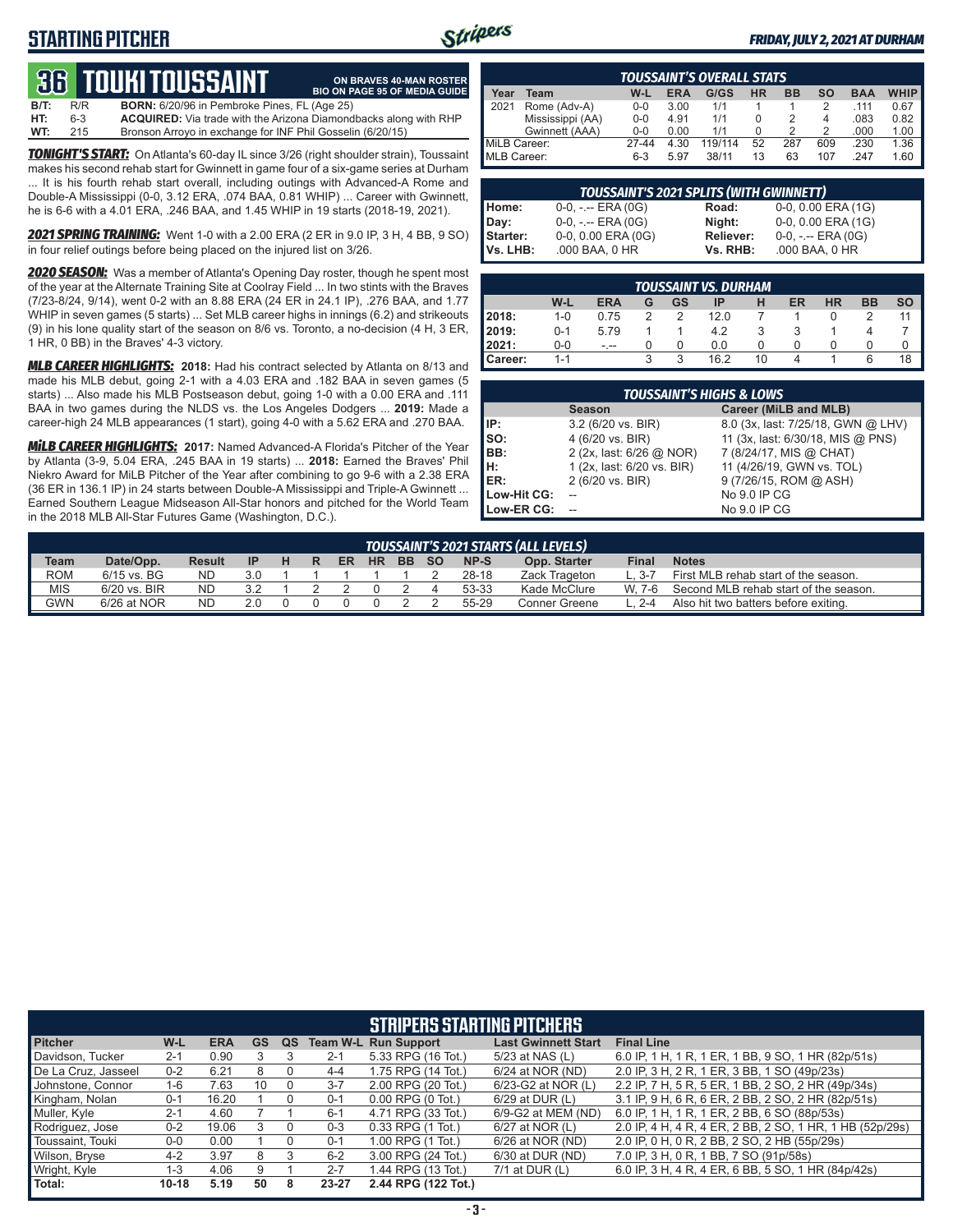# **STARTING PITCHER**



**ON BRAVES 40-MAN ROSTER**

#### *FRIDAY, JULY 2, 2021 AT DURHAM*

# **36****touki toussaint**

**B/T:** R/R **BORN:** 6/20/96 in Pembroke Pines, FL (Age 25)<br>**HT:** 6-3 **ACQUIRED:** Via trade with the Arizona Diamond **ACQUIRED:** Via trade with the Arizona Diamondbacks along with RHP **WT:** 215 Bronson Arroyo in exchange for INF Phil Gosselin (6/20/15) **BIO ON PAGE 95 OF MEDIA GUIDE**

*TONIGHT'S START:* On Atlanta's 60-day IL since 3/26 (right shoulder strain), Toussaint makes his second rehab start for Gwinnett in game four of a six-game series at Durham ... It is his fourth rehab start overall, including outings with Advanced-A Rome and Double-A Mississippi (0-0, 3.12 ERA, .074 BAA, 0.81 WHIP) ... Career with Gwinnett, he is 6-6 with a 4.01 ERA, .246 BAA, and 1.45 WHIP in 19 starts (2018-19, 2021).

*2021 SPRING TRAINING:* Went 1-0 with a 2.00 ERA (2 ER in 9.0 IP, 3 H, 4 BB, 9 SO) in four relief outings before being placed on the injured list on 3/26.

*2020 SEASON:* Was a member of Atlanta's Opening Day roster, though he spent most of the year at the Alternate Training Site at Coolray Field ... In two stints with the Braves (7/23-8/24, 9/14), went 0-2 with an 8.88 ERA (24 ER in 24.1 IP), .276 BAA, and 1.77 WHIP in seven games (5 starts) ... Set MLB career highs in innings (6.2) and strikeouts (9) in his lone quality start of the season on 8/6 vs. Toronto, a no-decision (4 H, 3 ER, 1 HR, 0 BB) in the Braves' 4-3 victory.

*MLB CAREER HIGHLIGHTS:* **2018:** Had his contract selected by Atlanta on 8/13 and made his MLB debut, going 2-1 with a 4.03 ERA and .182 BAA in seven games (5 starts) ... Also made his MLB Postseason debut, going 1-0 with a 0.00 ERA and .111 BAA in two games during the NLDS vs. the Los Angeles Dodgers ... **2019:** Made a career-high 24 MLB appearances (1 start), going 4-0 with a 5.62 ERA and .270 BAA.

*MiLB CAREER HIGHLIGHTS:* **2017:** Named Advanced-A Florida's Pitcher of the Year by Atlanta (3-9, 5.04 ERA, .245 BAA in 19 starts) ... **2018:** Earned the Braves' Phil Niekro Award for MiLB Pitcher of the Year after combining to go 9-6 with a 2.38 ERA (36 ER in 136.1 IP) in 24 starts between Double-A Mississippi and Triple-A Gwinnett ... Earned Southern League Midseason All-Star honors and pitched for the World Team in the 2018 MLB All-Star Futures Game (Washington, D.C.).

| <b>TOUSSAINT'S OVERALL STATS</b> |                  |         |            |         |    |           |           |            |             |
|----------------------------------|------------------|---------|------------|---------|----|-----------|-----------|------------|-------------|
| Year                             | Team             | W-L     | <b>ERA</b> | G/GS    | HR | <b>BB</b> | <b>SO</b> | <b>BAA</b> | <b>WHIP</b> |
| 2021                             | Rome (Adv-A)     | $0 - 0$ | 3.00       | 1/1     |    |           | 2         | .111       | 0.67        |
|                                  | Mississippi (AA) | $0 - 0$ | 4.91       | 1/1     |    |           | 4         | .083       | 0.82        |
|                                  | Gwinnett (AAA)   | $0 - 0$ | 0.00       | 1/1     |    |           | 2         | .000       | 1.00        |
| MiLB Career:                     |                  | 27-44   | 4.30       | 119/114 | 52 | 287       | 609       | .230       | 1.36        |
| MLB Career:                      |                  | $6-3$   | 5.97       | 38/11   | 13 | 63        | 107       | 247        | 1.60        |

| <b>TOUSSAINT'S 2021 SPLITS (WITH GWINNETT)</b> |                       |           |                       |  |  |  |  |  |
|------------------------------------------------|-----------------------|-----------|-----------------------|--|--|--|--|--|
| Home:                                          | $0-0, - -$ ERA $(0G)$ | Road:     | 0-0, 0.00 ERA (1G)    |  |  |  |  |  |
| Day:                                           | $0-0, - -$ ERA $(0G)$ | Night:    | 0-0, 0.00 ERA (1G)    |  |  |  |  |  |
| Starter:                                       | 0-0, 0.00 ERA (0G)    | Reliever: | $0-0, - -$ ERA $(0G)$ |  |  |  |  |  |
| Vs. LHB:                                       | .000 BAA, 0 HR        | Vs. RHB:  | .000 BAA, 0 HR        |  |  |  |  |  |

|         | TOUSSAINT VS. DURHAM |            |   |    |      |        |    |           |           |           |  |
|---------|----------------------|------------|---|----|------|--------|----|-----------|-----------|-----------|--|
|         | W-L                  | <b>ERA</b> | G | GS | IP   | н      | ER | <b>HR</b> | <b>BB</b> | <b>SO</b> |  |
| 2018:   | $1 - 0$              | 0.75       |   |    | 12.0 |        |    |           |           | 11        |  |
| 12019:  | $0 - 1$              | 5.79       |   |    | 4.2  |        |    |           |           |           |  |
| 12021:  | $0-0$                | $- - -$    |   |    | 0.0  | $\cup$ | 0  |           |           | O         |  |
| Career: | $1 - 1$              |            |   | 3  | 16.2 | 10     | 4  |           | 6         | 18        |  |

| <b>TOUSSAINT'S HIGHS &amp; LOWS</b> |                            |                                    |  |  |  |  |  |  |  |  |
|-------------------------------------|----------------------------|------------------------------------|--|--|--|--|--|--|--|--|
|                                     | <b>Season</b>              | Career (MiLB and MLB)              |  |  |  |  |  |  |  |  |
| IP:                                 | 3.2 (6/20 vs. BIR)         | 8.0 (3x, last: 7/25/18, GWN @ LHV) |  |  |  |  |  |  |  |  |
| SO:                                 | 4 (6/20 vs. BIR)           | 11 (3x, last: 6/30/18, MIS @ PNS)  |  |  |  |  |  |  |  |  |
| BB:                                 | 2 (2x, last: 6/26 @ NOR)   | 7 (8/24/17, MIS @ CHAT)            |  |  |  |  |  |  |  |  |
| н:                                  | 1 (2x, last: 6/20 vs. BIR) | 11 (4/26/19, GWN vs. TOL)          |  |  |  |  |  |  |  |  |
| ER:                                 | 2 (6/20 vs. BIR)           | 9 (7/26/15, ROM @ ASH)             |  |  |  |  |  |  |  |  |
| Low-Hit CG:                         |                            | No 9.0 IP CG                       |  |  |  |  |  |  |  |  |
| Low-ER CG:                          |                            | No 9.0 IP CG                       |  |  |  |  |  |  |  |  |

|            | TOUSSAINT'S 2021 STARTS (ALL LEVELS) ' |               |     |  |   |    |           |           |           |       |               |       |                                       |
|------------|----------------------------------------|---------------|-----|--|---|----|-----------|-----------|-----------|-------|---------------|-------|---------------------------------------|
| Team       | Date/Opp.                              | <b>Result</b> | IP  |  | R | ER | <b>HR</b> | <b>BB</b> | <b>SO</b> | NP-S  | Opp. Starter  | Final | <b>Notes</b>                          |
| <b>ROM</b> | $6/15$ vs. BG                          | <b>ND</b>     | 3.0 |  |   |    |           |           |           | 28-18 | Zack Trageton | . 3.7 | First MLB rehab start of the season.  |
| <b>MIS</b> | $6/20$ vs. BIR                         | ND.           |     |  |   |    |           |           |           | 53-33 | Kade McClure  | W 7-6 | Second MLB rehab start of the season. |
| <b>GWN</b> | $6/26$ at NOR                          | <b>ND</b>     | 2 በ |  |   |    |           |           |           | 55-29 | Conner Greene |       | Also hit two batters before exiting.  |

|                     | <b>STRIPERS STARTING PITCHERS</b> |            |           |    |         |                             |                            |                                                          |  |  |  |
|---------------------|-----------------------------------|------------|-----------|----|---------|-----------------------------|----------------------------|----------------------------------------------------------|--|--|--|
| <b>Pitcher</b>      | W-L                               | <b>ERA</b> | <b>GS</b> | QS |         | <b>Team W-L Run Support</b> | <b>Last Gwinnett Start</b> | <b>Final Line</b>                                        |  |  |  |
| Davidson, Tucker    | $2 - 1$                           | 0.90       |           |    | $2 - 1$ | 5.33 RPG (16 Tot.)          | 5/23 at NAS (L)            | 6.0 IP, 1 H, 1 R, 1 ER, 1 BB, 9 SO, 1 HR (82p/51s)       |  |  |  |
| De La Cruz, Jasseel | $0 - 2$                           | 6.21       | 8         |    | $4 - 4$ | 1.75 RPG (14 Tot.)          | 6/24 at NOR (ND)           | 2.0 IP, 3 H, 2 R, 1 ER, 3 BB, 1 SO (49p/23s)             |  |  |  |
| Johnstone, Connor   | 1-6                               | 7.63       | 10        | 0  | $3 - 7$ | 2.00 RPG (20 Tot.)          | 6/23-G2 at NOR (L)         | 2.2 IP, 7 H, 5 R, 5 ER, 1 BB, 2 SO, 2 HR (49p/34s)       |  |  |  |
| Kingham, Nolan      | $0 - 1$                           | 16.20      |           | 0  | $0 - 1$ | $0.00$ RPG $(0$ Tot.)       | 6/29 at DUR (L)            | 3.1 IP, 9 H, 6 R, 6 ER, 2 BB, 2 SO, 2 HR (82p/51s)       |  |  |  |
| Muller, Kyle        | $2 - 1$                           | 4.60       |           |    | $6 - 1$ | 4.71 RPG (33 Tot.)          | 6/9-G2 at MEM (ND)         | 6.0 IP, 1 H, 1 R, 1 ER, 2 BB, 6 SO (88p/53s)             |  |  |  |
| Rodriguez, Jose     | $0 - 2$                           | 19.06      |           |    | $0 - 3$ | 0.33 RPG (1 Tot.)           | 6/27 at NOR (L)            | 2.0 IP, 4 H, 4 R, 4 ER, 2 BB, 2 SO, 1 HR, 1 HB (52p/29s) |  |  |  |
| Toussaint, Touki    | $0-0$                             | 0.00       |           |    | $0 - 1$ | 1.00 RPG (1 Tot.)           | 6/26 at NOR (ND)           | 2.0 IP, 0 H, 0 R, 2 BB, 2 SO, 2 HB (55p/29s)             |  |  |  |
| Wilson, Bryse       | $4 - 2$                           | 3.97       | 8         |    | $6 - 2$ | 3.00 RPG (24 Tot.)          | 6/30 at DUR (ND)           | 7.0 IP, 3 H, 0 R, 1 BB, 7 SO (91p/58s)                   |  |  |  |
| Wright, Kyle        | 1-3                               | 4.06       | 9         |    | $2 - 7$ | 1.44 RPG (13 Tot.)          | 7/1 at DUR (L)             | 6.0 IP, 3 H, 4 R, 4 ER, 6 BB, 5 SO, 1 HR (84p/42s)       |  |  |  |
| Total:              | $10 - 18$                         | 5.19       | 50        | 8  | 23-27   | 2.44 RPG (122 Tot.)         |                            |                                                          |  |  |  |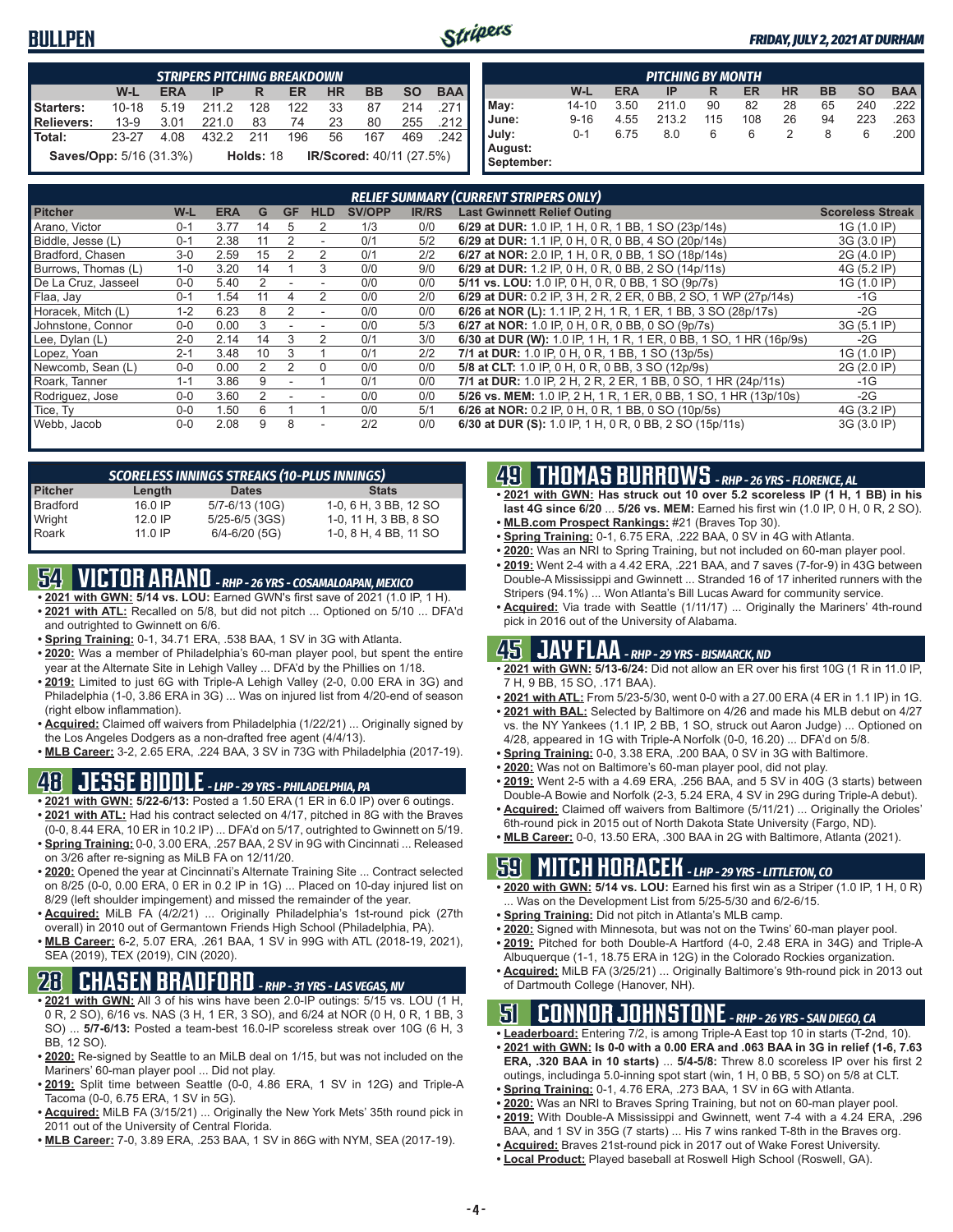## **BULLPEN**



|                                | <b>STRIPERS PITCHING BREAKDOWN</b> |            |           |           |           |           |                                 |           |            |  |
|--------------------------------|------------------------------------|------------|-----------|-----------|-----------|-----------|---------------------------------|-----------|------------|--|
|                                | W-L                                | <b>ERA</b> | IP        | R         | <b>ER</b> | <b>HR</b> | <b>BB</b>                       | <b>SO</b> | <b>BAA</b> |  |
| Starters:                      | $10 - 18$                          | 5.19       | 211.2     | 128       | 122       | 33        | 87                              | 214       | -271 I     |  |
| Relievers:                     | 13-9                               | 3.01       | 221.0     | 83        | 74        | 23        | 80                              | 255       | $.212$ l   |  |
| l Total:                       | 23-27                              | 4.08       | 432.2 211 |           | 196       | 56        | 167                             | 469       | - 242 I    |  |
| <b>Saves/Opp:</b> 5/16 (31.3%) |                                    |            |           | Holds: 18 |           |           | <b>IR/Scored:</b> 40/11 (27.5%) |           |            |  |

| <b>PITCHING BY MONTH</b> |          |            |       |     |     |           |           |           |            |
|--------------------------|----------|------------|-------|-----|-----|-----------|-----------|-----------|------------|
|                          | W-L      | <b>ERA</b> | IP    | R   | ER  | <b>HR</b> | <b>BB</b> | <b>SO</b> | <b>BAA</b> |
| May:                     | 14-10    | 3.50       | 211.0 | 90  | 82  | 28        | 65        | 240       | .222       |
| June:                    | $9 - 16$ | 4.55       | 213.2 | 115 | 108 | 26        | 94        | 223       | .263       |
| July:                    | $0 - 1$  | 6.75       | 8.0   | 6   | 6   | 2         | 8         | 6         | .200       |
| August:                  |          |            |       |     |     |           |           |           |            |
| September:               |          |            |       |     |     |           |           |           |            |

|                     | <b>RELIEF SUMMARY (CURRENT STRIPERS ONLY)</b> |            |    |           |                          |               |              |                                                                    |                         |  |
|---------------------|-----------------------------------------------|------------|----|-----------|--------------------------|---------------|--------------|--------------------------------------------------------------------|-------------------------|--|
| <b>Pitcher</b>      | W-L                                           | <b>ERA</b> | G  | <b>GF</b> | <b>HLD</b>               | <b>SV/OPP</b> | <b>IR/RS</b> | <b>Last Gwinnett Relief Outing</b>                                 | <b>Scoreless Streak</b> |  |
| Arano, Victor       | $0 - 1$                                       | 3.77       | 14 | 5         | 2                        | 1/3           | 0/0          | 6/29 at DUR: 1.0 IP, 1 H, 0 R, 1 BB, 1 SO (23p/14s)                | 1G (1.0 IP)             |  |
| Biddle, Jesse (L)   | $0 - 1$                                       | 2.38       |    |           | $\overline{\phantom{a}}$ | 0/1           | 5/2          | 6/29 at DUR: 1.1 IP, 0 H, 0 R, 0 BB, 4 SO (20p/14s)                | 3G (3.0 IP)             |  |
| Bradford, Chasen    | $3-0$                                         | 2.59       | 15 |           | 2                        | 0/1           | 2/2          | 6/27 at NOR: 2.0 IP, 1 H, 0 R, 0 BB, 1 SO (18p/14s)                | 2G (4.0 IP)             |  |
| Burrows, Thomas (L) | $1 - 0$                                       | 3.20       | 14 |           | 3                        | 0/0           | 9/0          | 6/29 at DUR: 1.2 IP, 0 H, 0 R, 0 BB, 2 SO (14p/11s)                | 4G (5.2 IP)             |  |
| De La Cruz, Jasseel | $0 - 0$                                       | 5.40       |    |           |                          | 0/0           | 0/0          | 5/11 vs. LOU: 1.0 IP, 0 H, 0 R, 0 BB, 1 SO (9p/7s)                 | 1G (1.0 IP)             |  |
| Flaa, Jav           | $0 - 1$                                       | 1.54       |    |           | 2                        | 0/0           | 2/0          | 6/29 at DUR: 0.2 IP, 3 H, 2 R, 2 ER, 0 BB, 2 SO, 1 WP (27p/14s)    | $-1G$                   |  |
| Horacek, Mitch (L)  | $1 - 2$                                       | 6.23       | 8  |           | ٠                        | 0/0           | 0/0          | 6/26 at NOR (L): 1.1 IP, 2 H, 1 R, 1 ER, 1 BB, 3 SO (28p/17s)      | $-2G$                   |  |
| Johnstone, Connor   | $0 - 0$                                       | 0.00       |    |           |                          | 0/0           | 5/3          | 6/27 at NOR: 1.0 IP, 0 H, 0 R, 0 BB, 0 SO (9p/7s)                  | 3G (5.1 IP)             |  |
| Lee, Dylan (L)      | $2 - 0$                                       | 2.14       | 14 | 3         |                          | 0/1           | 3/0          | 6/30 at DUR (W): 1.0 IP, 1 H, 1 R, 1 ER, 0 BB, 1 SO, 1 HR (16p/9s) | $-2G$                   |  |
| Lopez, Yoan         | $2 - 1$                                       | 3.48       | 10 | 3         |                          | 0/1           | 2/2          | 7/1 at DUR: 1.0 IP, 0 H, 0 R, 1 BB, 1 SO (13p/5s)                  | 1G (1.0 IP)             |  |
| Newcomb, Sean (L)   | $0 - 0$                                       | 0.00       |    |           | <sup>0</sup>             | 0/0           | 0/0          | 5/8 at CLT: 1.0 IP, 0 H, 0 R, 0 BB, 3 SO (12p/9s)                  | 2G (2.0 IP)             |  |
| Roark, Tanner       | $1 - 1$                                       | 3.86       | 9  |           |                          | 0/1           | 0/0          | 7/1 at DUR: 1.0 IP, 2 H, 2 R, 2 ER, 1 BB, 0 SO, 1 HR (24p/11s)     | $-1G$                   |  |
| Rodriguez, Jose     | $0 - 0$                                       | 3.60       |    |           |                          | 0/0           | 0/0          | 5/26 vs. MEM: 1.0 IP, 2 H, 1 R, 1 ER, 0 BB, 1 SO, 1 HR (13p/10s)   | $-2G$                   |  |
| Tice, Ty            | $0 - 0$                                       | 1.50       | 6  |           |                          | 0/0           | 5/1          | 6/26 at NOR: 0.2 IP, 0 H, 0 R, 1 BB, 0 SO (10p/5s)                 | 4G (3.2 IP)             |  |
| Webb, Jacob         | $0 - 0$                                       | 2.08       | 9  | 8         |                          | 2/2           | 0/0          | 6/30 at DUR (S): 1.0 IP, 1 H, 0 R, 0 BB, 2 SO (15p/11s)            | 3G (3.0 IP)             |  |

| <b>SCORELESS INNINGS STREAKS (10-PLUS INNINGS)</b> |           |                   |                       |  |  |  |  |  |  |  |
|----------------------------------------------------|-----------|-------------------|-----------------------|--|--|--|--|--|--|--|
| <b>Pitcher</b>                                     | Length    | <b>Dates</b>      | <b>Stats</b>          |  |  |  |  |  |  |  |
| <b>Bradford</b>                                    | 16.0 IP   | 5/7-6/13 (10G)    | 1-0, 6 H, 3 BB, 12 SO |  |  |  |  |  |  |  |
| Wright                                             | $12.0$ IP | 5/25-6/5 (3GS)    | 1-0, 11 H, 3 BB, 8 SO |  |  |  |  |  |  |  |
| Roark                                              | $11.0$ IP | $6/4 - 6/20$ (5G) | 1-0, 8 H, 4 BB, 11 SO |  |  |  |  |  |  |  |

# **54 VICTOR ARANO** *- RHP - 26 YRS - COSAMALOAPAN, MEXICO*

- **• 2021 with GWN: 5/14 vs. LOU:** Earned GWN's first save of 2021 (1.0 IP, 1 H). **• 2021 with ATL:** Recalled on 5/8, but did not pitch ... Optioned on 5/10 ... DFA'd
- and outrighted to Gwinnett on 6/6. **• Spring Training:** 0-1, 34.71 ERA, .538 BAA, 1 SV in 3G with Atlanta.
- **• 2020:** Was a member of Philadelphia's 60-man player pool, but spent the entire year at the Alternate Site in Lehigh Valley ... DFA'd by the Phillies on 1/18.
- **• 2019:** Limited to just 6G with Triple-A Lehigh Valley (2-0, 0.00 ERA in 3G) and Philadelphia (1-0, 3.86 ERA in 3G) ... Was on injured list from 4/20-end of season (right elbow inflammation).
- **• Acquired:** Claimed off waivers from Philadelphia (1/22/21) ... Originally signed by the Los Angeles Dodgers as a non-drafted free agent (4/4/13).
- **• MLB Career:** 3-2, 2.65 ERA, .224 BAA, 3 SV in 73G with Philadelphia (2017-19).

# **48 JESSE BIDDLE** *- LHP - 29 YRS - PHILADELPHIA, PA*

- **• 2021 with GWN: 5/22-6/13:** Posted a 1.50 ERA (1 ER in 6.0 IP) over 6 outings.
- **• 2021 with ATL:** Had his contract selected on 4/17, pitched in 8G with the Braves (0-0, 8.44 ERA, 10 ER in 10.2 IP) ... DFA'd on 5/17, outrighted to Gwinnett on 5/19.
- **• Spring Training:** 0-0, 3.00 ERA, .257 BAA, 2 SV in 9G with Cincinnati ... Released on 3/26 after re-signing as MiLB FA on 12/11/20.
- **• 2020:** Opened the year at Cincinnati's Alternate Training Site ... Contract selected on 8/25 (0-0, 0.00 ERA, 0 ER in 0.2 IP in 1G) ... Placed on 10-day injured list on 8/29 (left shoulder impingement) and missed the remainder of the year.
- **• Acquired:** MiLB FA (4/2/21) ... Originally Philadelphia's 1st-round pick (27th overall) in 2010 out of Germantown Friends High School (Philadelphia, PA).
- **• MLB Career:** 6-2, 5.07 ERA, .261 BAA, 1 SV in 99G with ATL (2018-19, 2021), SEA (2019), TEX (2019), CIN (2020).

# **28 CHASEN BRADFORD** *- RHP - 31 YRS - LAS VEGAS, NV*

- **• 2021 with GWN:** All 3 of his wins have been 2.0-IP outings: 5/15 vs. LOU (1 H, 0 R, 2 SO), 6/16 vs. NAS (3 H, 1 ER, 3 SO), and 6/24 at NOR (0 H, 0 R, 1 BB, 3 SO) ... **5/7-6/13:** Posted a team-best 16.0-IP scoreless streak over 10G (6 H, 3 BB, 12 SO).
- **• 2020:** Re-signed by Seattle to an MiLB deal on 1/15, but was not included on the Mariners' 60-man player pool ... Did not play.
- **• 2019:** Split time between Seattle (0-0, 4.86 ERA, 1 SV in 12G) and Triple-A Tacoma (0-0, 6.75 ERA, 1 SV in 5G).
- **• Acquired:** MiLB FA (3/15/21) ... Originally the New York Mets' 35th round pick in 2011 out of the University of Central Florida.
- **• MLB Career:** 7-0, 3.89 ERA, .253 BAA, 1 SV in 86G with NYM, SEA (2017-19).

## **49 THOMAS BURROWS** *- RHP - 26 YRS - FLORENCE, AL*

- **• 2021 with GWN: Has struck out 10 over 5.2 scoreless IP (1 H, 1 BB) in his last 4G since 6/20** ... **5/26 vs. MEM:** Earned his first win (1.0 IP, 0 H, 0 R, 2 SO).
- **• MLB.com Prospect Rankings:** #21 (Braves Top 30).
- **• Spring Training:** 0-1, 6.75 ERA, .222 BAA, 0 SV in 4G with Atlanta.
- **• 2020:** Was an NRI to Spring Training, but not included on 60-man player pool.
- **• 2019:** Went 2-4 with a 4.42 ERA, .221 BAA, and 7 saves (7-for-9) in 43G between Double-A Mississippi and Gwinnett ... Stranded 16 of 17 inherited runners with the Stripers (94.1%) ... Won Atlanta's Bill Lucas Award for community service.
- **• Acquired:** Via trade with Seattle (1/11/17) ... Originally the Mariners' 4th-round pick in 2016 out of the University of Alabama.

# **45 JAY FLAA** *- RHP - 29 YRS - BISMARCK, ND*

- **• 2021 with GWN: 5/13-6/24:** Did not allow an ER over his first 10G (1 R in 11.0 IP, 7 H, 9 BB, 15 SO, .171 BAA).
- **• 2021 with ATL:** From 5/23-5/30, went 0-0 with a 27.00 ERA (4 ER in 1.1 IP) in 1G.
- **• 2021 with BAL:** Selected by Baltimore on 4/26 and made his MLB debut on 4/27 vs. the NY Yankees (1.1 IP, 2 BB, 1 SO, struck out Aaron Judge) ... Optioned on 4/28, appeared in 1G with Triple-A Norfolk (0-0, 16.20) ... DFA'd on 5/8.
- **• Spring Training:** 0-0, 3.38 ERA, .200 BAA, 0 SV in 3G with Baltimore.
- **• 2020:** Was not on Baltimore's 60-man player pool, did not play.
- **• 2019:** Went 2-5 with a 4.69 ERA, .256 BAA, and 5 SV in 40G (3 starts) between Double-A Bowie and Norfolk (2-3, 5.24 ERA, 4 SV in 29G during Triple-A debut).
- **• Acquired:** Claimed off waivers from Baltimore (5/11/21) ... Originally the Orioles' 6th-round pick in 2015 out of North Dakota State University (Fargo, ND).
- **• MLB Career:** 0-0, 13.50 ERA, .300 BAA in 2G with Baltimore, Atlanta (2021).

# **59 MITCH HORACEK** *- LHP - 29 YRS - LITTLETON, CO*

- **• 2020 with GWN: 5/14 vs. LOU:** Earned his first win as a Striper (1.0 IP, 1 H, 0 R) . Was on the Development List from 5/25-5/30 and 6/2-6/15.
- **• Spring Training:** Did not pitch in Atlanta's MLB camp.
- **• 2020:** Signed with Minnesota, but was not on the Twins' 60-man player pool.
- **• 2019:** Pitched for both Double-A Hartford (4-0, 2.48 ERA in 34G) and Triple-A Albuquerque (1-1, 18.75 ERA in 12G) in the Colorado Rockies organization.
- **• Acquired:** MiLB FA (3/25/21) ... Originally Baltimore's 9th-round pick in 2013 out of Dartmouth College (Hanover, NH).

## **51 CONNOR JOHNSTONE** *- RHP - 26 YRS - SAN DIEGO, CA*

- **• Leaderboard:** Entering 7/2, is among Triple-A East top 10 in starts (T-2nd, 10).
- **• 2021 with GWN: Is 0-0 with a 0.00 ERA and .063 BAA in 3G in relief (1-6, 7.63 ERA, .320 BAA in 10 starts)** ... **5/4-5/8:** Threw 8.0 scoreless IP over his first 2 outings, includinga 5.0-inning spot start (win, 1 H, 0 BB, 5 SO) on 5/8 at CLT.
- **• Spring Training:** 0-1, 4.76 ERA, .273 BAA, 1 SV in 6G with Atlanta.
- **• 2020:** Was an NRI to Braves Spring Training, but not on 60-man player pool.
- **• 2019:** With Double-A Mississippi and Gwinnett, went 7-4 with a 4.24 ERA, .296
- BAA, and 1 SV in 35G (7 starts) ... His 7 wins ranked T-8th in the Braves org.
- **• Acquired:** Braves 21st-round pick in 2017 out of Wake Forest University.
- **• Local Product:** Played baseball at Roswell High School (Roswell, GA).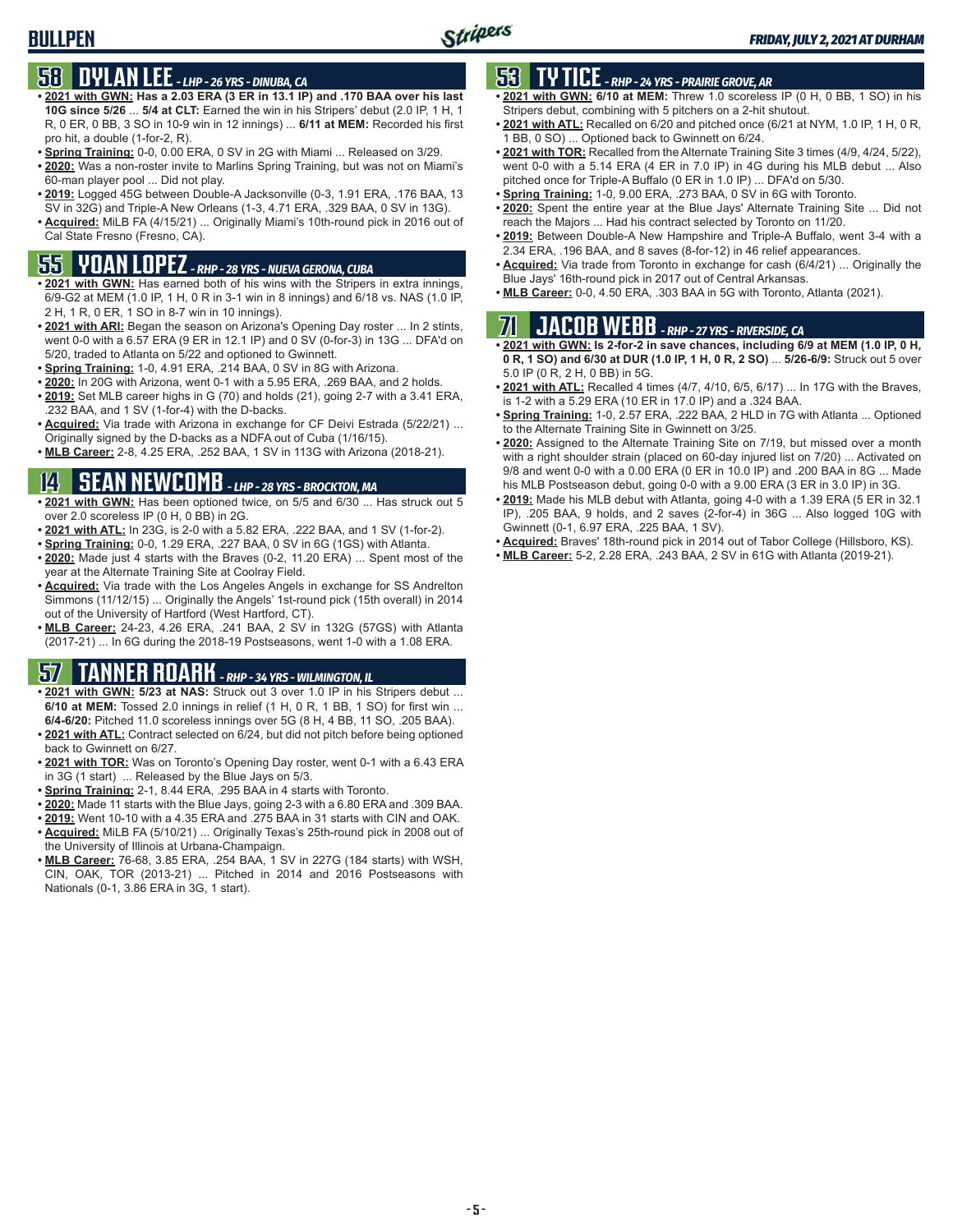# **58 DYLAN LEE** *- LHP - 26 YRS - DINUBA, CA*

- **• 2021 with GWN: Has a 2.03 ERA (3 ER in 13.1 IP) and .170 BAA over his last 10G since 5/26** ... **5/4 at CLT:** Earned the win in his Stripers' debut (2.0 IP, 1 H, 1 R, 0 ER, 0 BB, 3 SO in 10-9 win in 12 innings) ... **6/11 at MEM:** Recorded his first pro hit, a double (1-for-2, R).
- **• Spring Training:** 0-0, 0.00 ERA, 0 SV in 2G with Miami ... Released on 3/29.
- **• 2020:** Was a non-roster invite to Marlins Spring Training, but was not on Miami's 60-man player pool ... Did not play.
- **• 2019:** Logged 45G between Double-A Jacksonville (0-3, 1.91 ERA, .176 BAA, 13 SV in 32G) and Triple-A New Orleans (1-3, 4.71 ERA, .329 BAA, 0 SV in 13G).
- **• Acquired:** MiLB FA (4/15/21) ... Originally Miami's 10th-round pick in 2016 out of Cal State Fresno (Fresno, CA).

# **55 YOAN LOPEZ** *- RHP - 28 YRS - NUEVA GERONA, CUBA*

- **• 2021 with GWN:** Has earned both of his wins with the Stripers in extra innings, 6/9-G2 at MEM (1.0 IP, 1 H, 0 R in 3-1 win in 8 innings) and 6/18 vs. NAS (1.0 IP, 2 H, 1 R, 0 ER, 1 SO in 8-7 win in 10 innings).
- **• 2021 with ARI:** Began the season on Arizona's Opening Day roster ... In 2 stints, went 0-0 with a 6.57 ERA (9 ER in 12.1 IP) and 0 SV (0-for-3) in 13G ... DFA'd on 5/20, traded to Atlanta on 5/22 and optioned to Gwinnett.
- **• Spring Training:** 1-0, 4.91 ERA, .214 BAA, 0 SV in 8G with Arizona.
- **• 2020:** In 20G with Arizona, went 0-1 with a 5.95 ERA, .269 BAA, and 2 holds.
- **• 2019:** Set MLB career highs in G (70) and holds (21), going 2-7 with a 3.41 ERA, .232 BAA, and 1 SV (1-for-4) with the D-backs.
- **• Acquired:** Via trade with Arizona in exchange for CF Deivi Estrada (5/22/21) ... Originally signed by the D-backs as a NDFA out of Cuba (1/16/15).
- **• MLB Career:** 2-8, 4.25 ERA, .252 BAA, 1 SV in 113G with Arizona (2018-21).

# **14 SEAN NEWCOMB** *- LHP - 28 YRS - BROCKTON, MA*

- **• 2021 with GWN:** Has been optioned twice, on 5/5 and 6/30 ... Has struck out 5 over 2.0 scoreless IP (0 H, 0 BB) in 2G.
- **• 2021 with ATL:** In 23G, is 2-0 with a 5.82 ERA, .222 BAA, and 1 SV (1-for-2).
- **• Spring Training:** 0-0, 1.29 ERA, .227 BAA, 0 SV in 6G (1GS) with Atlanta.
- **• 2020:** Made just 4 starts with the Braves (0-2, 11.20 ERA) ... Spent most of the year at the Alternate Training Site at Coolray Field.
- **• Acquired:** Via trade with the Los Angeles Angels in exchange for SS Andrelton Simmons (11/12/15) ... Originally the Angels' 1st-round pick (15th overall) in 2014 out of the University of Hartford (West Hartford, CT).
- **• MLB Career:** 24-23, 4.26 ERA, .241 BAA, 2 SV in 132G (57GS) with Atlanta (2017-21) ... In 6G during the 2018-19 Postseasons, went 1-0 with a 1.08 ERA.

# **57 TANNER ROARK** *- RHP - 34 YRS - WILMINGTON, IL*

- **• 2021 with GWN: 5/23 at NAS:** Struck out 3 over 1.0 IP in his Stripers debut ... **6/10 at MEM:** Tossed 2.0 innings in relief (1 H, 0 R, 1 BB, 1 SO) for first win ... **6/4-6/20:** Pitched 11.0 scoreless innings over 5G (8 H, 4 BB, 11 SO, .205 BAA).
- **• 2021 with ATL:** Contract selected on 6/24, but did not pitch before being optioned back to Gwinnett on 6/27.
- **• 2021 with TOR:** Was on Toronto's Opening Day roster, went 0-1 with a 6.43 ERA in 3G (1 start) ... Released by the Blue Jays on 5/3.
- **• Spring Training:** 2-1, 8.44 ERA, .295 BAA in 4 starts with Toronto.
- **• 2020:** Made 11 starts with the Blue Jays, going 2-3 with a 6.80 ERA and .309 BAA.
- **• 2019:** Went 10-10 with a 4.35 ERA and .275 BAA in 31 starts with CIN and OAK. **• Acquired:** MiLB FA (5/10/21) ... Originally Texas's 25th-round pick in 2008 out of
- the University of Illinois at Urbana-Champaign. **• MLB Career:** 76-68, 3.85 ERA, .254 BAA, 1 SV in 227G (184 starts) with WSH, CIN, OAK, TOR (2013-21) ... Pitched in 2014 and 2016 Postseasons with Nationals (0-1, 3.86 ERA in 3G, 1 start).

# **53 TY TICE** *- RHP - 24 YRS - PRAIRIE GROVE, AR*

- **• 2021 with GWN: 6/10 at MEM:** Threw 1.0 scoreless IP (0 H, 0 BB, 1 SO) in his Stripers debut, combining with 5 pitchers on a 2-hit shutout.
- **• 2021 with ATL:** Recalled on 6/20 and pitched once (6/21 at NYM, 1.0 IP, 1 H, 0 R, 1 BB, 0 SO) ... Optioned back to Gwinnett on 6/24.
- **• 2021 with TOR:** Recalled from the Alternate Training Site 3 times (4/9, 4/24, 5/22), went 0-0 with a 5.14 ERA (4 ER in 7.0 IP) in 4G during his MLB debut ... Also pitched once for Triple-A Buffalo (0 ER in 1.0 IP) ... DFA'd on 5/30.
- **• Spring Training:** 1-0, 9.00 ERA, .273 BAA, 0 SV in 6G with Toronto.
- **• 2020:** Spent the entire year at the Blue Jays' Alternate Training Site ... Did not reach the Majors ... Had his contract selected by Toronto on 11/20.
- **• 2019:** Between Double-A New Hampshire and Triple-A Buffalo, went 3-4 with a 2.34 ERA, .196 BAA, and 8 saves (8-for-12) in 46 relief appearances.
- **• Acquired:** Via trade from Toronto in exchange for cash (6/4/21) ... Originally the Blue Jays' 16th-round pick in 2017 out of Central Arkansas.
- **• MLB Career:** 0-0, 4.50 ERA, .303 BAA in 5G with Toronto, Atlanta (2021).

# **71 JACOB WEBB** *- RHP - 27 YRS - RIVERSIDE, CA*

- **• 2021 with GWN: Is 2-for-2 in save chances, including 6/9 at MEM (1.0 IP, 0 H, 0 R, 1 SO) and 6/30 at DUR (1.0 IP, 1 H, 0 R, 2 SO)** ... **5/26-6/9:** Struck out 5 over 5.0 IP (0 R, 2 H, 0 BB) in 5G.
- **• 2021 with ATL:** Recalled 4 times (4/7, 4/10, 6/5, 6/17) ... In 17G with the Braves, is 1-2 with a 5.29 ERA (10 ER in 17.0 IP) and a .324 BAA.
- **• Spring Training:** 1-0, 2.57 ERA, .222 BAA, 2 HLD in 7G with Atlanta ... Optioned to the Alternate Training Site in Gwinnett on 3/25.
- **• 2020:** Assigned to the Alternate Training Site on 7/19, but missed over a month with a right shoulder strain (placed on 60-day injured list on 7/20) ... Activated on 9/8 and went 0-0 with a 0.00 ERA (0 ER in 10.0 IP) and .200 BAA in 8G ... Made his MLB Postseason debut, going 0-0 with a 9.00 ERA (3 ER in 3.0 IP) in 3G.
- **• 2019:** Made his MLB debut with Atlanta, going 4-0 with a 1.39 ERA (5 ER in 32.1 IP), .205 BAA, 9 holds, and 2 saves (2-for-4) in 36G ... Also logged 10G with Gwinnett (0-1, 6.97 ERA, .225 BAA, 1 SV).
- **• Acquired:** Braves' 18th-round pick in 2014 out of Tabor College (Hillsboro, KS).
- **• MLB Career:** 5-2, 2.28 ERA, .243 BAA, 2 SV in 61G with Atlanta (2019-21).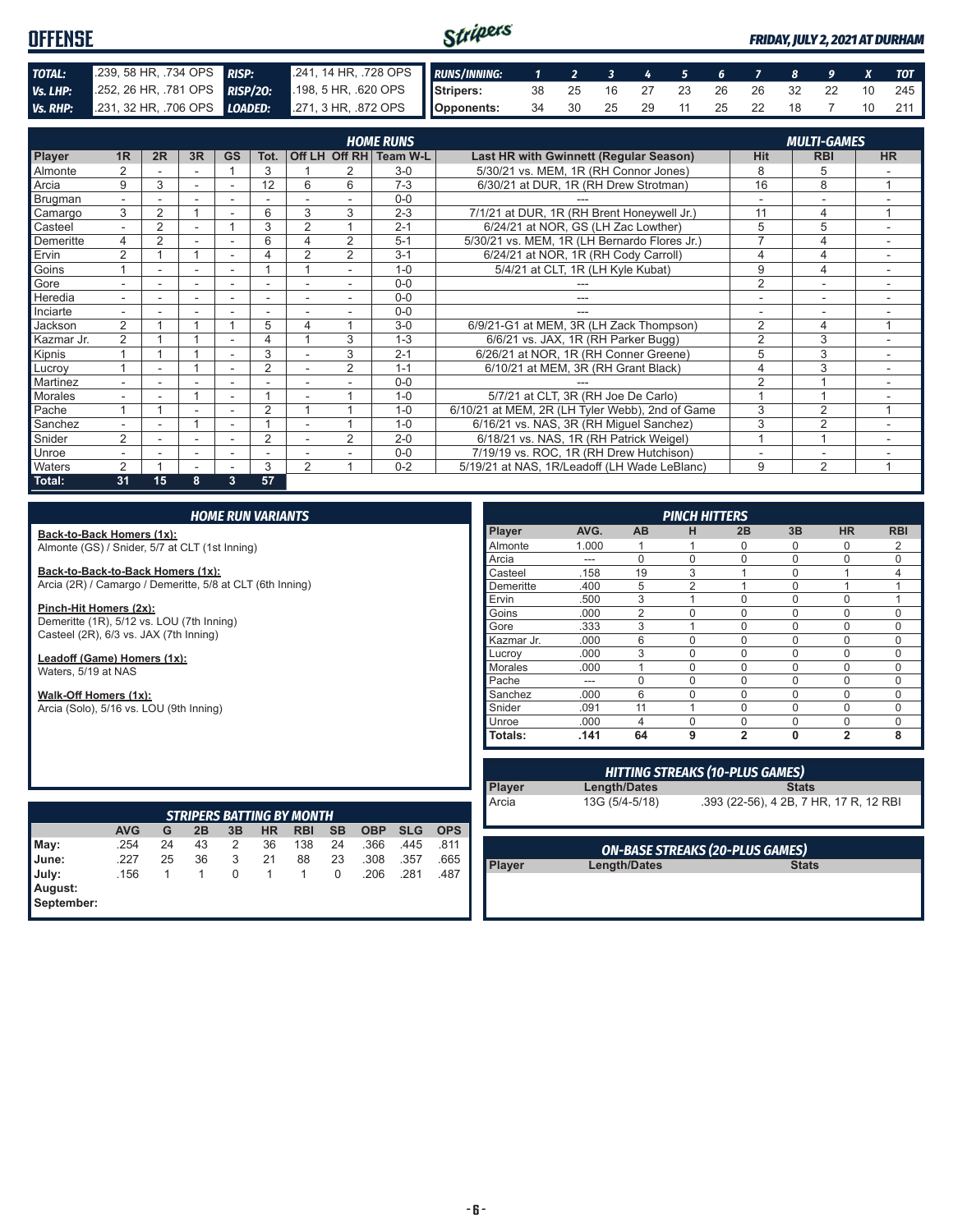#### Stripers **OFFENSE** *FRIDAY, JULY 2, 2021 AT DURHAM TOTAL:* .239, 58 HR, .734 OPS *RISP:* .241, 14 HR, .728 OPS *RUNS/INNING: 1 2 3 4 5 6 7 8 9 X TOT Vs. LHP:* .252, 26 HR, .781 OPS *RISP/2O:* .198, 5 HR, .620 OPS **Stripers:** 38 25 16 27 23 26 26 32 22 10 245 **Opponents:** 34 30 25 29 11 25 22 18 7 10 211 **Vs. RHP:** .231, 32 HR, .706 OPS **LOADED:** .271, 3 HR, .872 OPS

|                | <b>HOME RUNS</b><br><b>MULTI-GAMES</b> |                |        |                          |                          |                          |                |                        |                                                 |                |                |                          |
|----------------|----------------------------------------|----------------|--------|--------------------------|--------------------------|--------------------------|----------------|------------------------|-------------------------------------------------|----------------|----------------|--------------------------|
|                |                                        |                |        |                          |                          |                          |                |                        |                                                 |                |                |                          |
| Player         | 1R                                     | 2R             | 3R     | <b>GS</b>                | Tot.                     |                          |                | Off LH Off RH Team W-L | Last HR with Gwinnett (Regular Season)          | <b>Hit</b>     | <b>RBI</b>     | <b>HR</b>                |
| Almonte        | $\overline{2}$                         |                |        |                          | 3                        |                          |                | $3-0$                  | 5/30/21 vs. MEM, 1R (RH Connor Jones)           | 8              | 5              |                          |
| Arcia          | 9                                      | 3              | $\sim$ |                          | 12                       | 6                        | 6              | $7 - 3$                | 6/30/21 at DUR, 1R (RH Drew Strotman)           | 16             | 8              | 4                        |
| Brugman        | $\overline{\phantom{0}}$               |                |        |                          |                          |                          |                | $0 - 0$                |                                                 |                |                |                          |
| Camargo        | 3                                      | 2              |        |                          | 6                        | 3                        | 3              | $2 - 3$                | 7/1/21 at DUR, 1R (RH Brent Honeywell Jr.)      | 11             | 4              | 1                        |
| Casteel        | $\overline{\phantom{0}}$               | $\overline{2}$ |        |                          | 3                        | $\overline{2}$           |                | $2 - 1$                | 6/24/21 at NOR, GS (LH Zac Lowther)             | 5              | 5              |                          |
| Demeritte      | 4                                      | 2              |        |                          | 6                        | 4                        | 2              | $5-1$                  | 5/30/21 vs. MEM, 1R (LH Bernardo Flores Jr.)    | ⇁              | 4              | $\overline{\phantom{a}}$ |
| Ervin          | $\overline{2}$                         |                |        |                          |                          | $\overline{2}$           | $\overline{2}$ | $3 - 1$                | 6/24/21 at NOR, 1R (RH Cody Carroll)            | 4              | 4              |                          |
| Goins          |                                        |                |        |                          |                          |                          |                | $1 - 0$                | 5/4/21 at CLT, 1R (LH Kyle Kubat)               | 9              | 4              |                          |
| Gore           |                                        |                |        |                          |                          |                          |                | $0 - 0$                |                                                 | $\overline{2}$ |                |                          |
| Heredia        | $\overline{\phantom{0}}$               |                |        |                          | ٠                        |                          |                | $0 - 0$                | ---                                             |                | ۰              | $\overline{\phantom{a}}$ |
| Inciarte       |                                        |                |        |                          |                          |                          |                | $0 - 0$                |                                                 |                |                |                          |
| Jackson        | $\overline{2}$                         |                |        |                          | 5                        | 4                        |                | $3-0$                  | 6/9/21-G1 at MEM, 3R (LH Zack Thompson)         | 2              | 4              | 1                        |
| Kazmar Jr.     | 2                                      |                |        |                          | 4                        |                          | 3              | $1 - 3$                | 6/6/21 vs. JAX, 1R (RH Parker Bugg)             | $\overline{2}$ | 3              |                          |
| Kipnis         |                                        |                |        |                          | 3                        |                          | 3              | $2 - 1$                | 6/26/21 at NOR, 1R (RH Conner Greene)           | 5              | 3              | $\sim$                   |
| Lucrov         |                                        | ۰              |        | $\overline{\phantom{a}}$ | $\overline{2}$           | $\overline{\phantom{a}}$ | $\overline{2}$ | $1 - 1$                | 6/10/21 at MEM, 3R (RH Grant Black)             | 4              | 3              | ۰                        |
| Martinez       | $\overline{\phantom{0}}$               | ۰              |        | $\overline{\phantom{a}}$ | $\overline{\phantom{a}}$ |                          |                | $0 - 0$                |                                                 | $\overline{2}$ |                |                          |
| <b>Morales</b> |                                        |                |        |                          |                          |                          |                | $1 - 0$                | 5/7/21 at CLT, 3R (RH Joe De Carlo)             |                |                |                          |
| Pache          |                                        |                |        |                          | $\overline{2}$           |                          |                | $1 - 0$                | 6/10/21 at MEM, 2R (LH Tyler Webb), 2nd of Game | 3              | $\overline{2}$ |                          |
| Sanchez        |                                        |                |        |                          |                          |                          |                | $1 - 0$                | 6/16/21 vs. NAS, 3R (RH Miguel Sanchez)         | 3              | $\overline{2}$ |                          |
| Snider         | 2                                      |                |        |                          | $\overline{2}$           |                          | $\overline{2}$ | $2 - 0$                | 6/18/21 vs. NAS, 1R (RH Patrick Weigel)         |                | $\overline{A}$ |                          |
| Unroe          |                                        |                | ۰      | ۰                        | ۰                        |                          |                | $0 - 0$                | 7/19/19 vs. ROC, 1R (RH Drew Hutchison)         |                | ٠              |                          |
| Waters         | $\overline{2}$                         |                |        |                          | 3                        | $\overline{2}$           |                | $0 - 2$                | 5/19/21 at NAS, 1R/Leadoff (LH Wade LeBlanc)    | 9              | 2              | 1                        |
| Total:         | 31                                     | 15             | 8      | 3                        | 57                       |                          |                |                        |                                                 |                |                |                          |

#### *HOME RUN VARIANTS*

**Back-to-Back Homers (1x):** Almonte (GS) / Snider, 5/7 at CLT (1st Inning)

**Back-to-Back-to-Back Homers (1x):** Arcia (2R) / Camargo / Demeritte, 5/8 at CLT (6th Inning)

**Pinch-Hit Homers (2x):** Demeritte (1R), 5/12 vs. LOU (7th Inning) Casteel (2R), 6/3 vs. JAX (7th Inning)

**Leadoff (Game) Homers (1x):** Waters, 5/19 at NAS

**Walk-Off Homers (1x):**

Arcia (Solo), 5/16 vs. LOU (9th Inning)

| <b>PINCH HITTERS</b> |       |                |                |                |              |                |            |  |  |
|----------------------|-------|----------------|----------------|----------------|--------------|----------------|------------|--|--|
| <b>Player</b>        | AVG.  | AB             | н              | 2B             | 3B           | <b>HR</b>      | <b>RBI</b> |  |  |
| Almonte              | 1.000 |                |                | 0              | 0            | 0              | 2          |  |  |
| Arcia                |       | $\Omega$       | $\Omega$       | $\Omega$       | $\Omega$     | $\Omega$       | $\Omega$   |  |  |
| Casteel              | .158  | 19             | 3              | 4              | $\Omega$     | 1              | 4          |  |  |
| Demeritte            | .400  | 5              | $\overline{2}$ |                | $\Omega$     | 1              |            |  |  |
| Ervin                | .500  | 3              | 1              | $\Omega$       | $\Omega$     | 0              |            |  |  |
| Goins                | .000  | $\overline{2}$ | $\Omega$       | $\Omega$       | $\Omega$     | 0              | O          |  |  |
| Gore                 | .333  | 3              | 1              | $\Omega$       | $\Omega$     | $\Omega$       | U          |  |  |
| Kazmar Jr.           | .000  | 6              | $\Omega$       | $\Omega$       | $\Omega$     | 0              | 0          |  |  |
| Lucrov               | .000  | 3              | $\Omega$       | $\Omega$       | $\Omega$     | $\Omega$       | $\Omega$   |  |  |
| <b>Morales</b>       | .000  |                | $\Omega$       | $\Omega$       | $\Omega$     | 0              | $\Omega$   |  |  |
| Pache                |       | $\Omega$       | $\Omega$       | $\Omega$       | $\Omega$     | $\Omega$       | ∩          |  |  |
| Sanchez              | .000  | 6              | 0              | $\Omega$       | $\Omega$     | 0              | U          |  |  |
| Snider               | .091  | 11             | 1              | $\Omega$       | $\Omega$     | 0              | 0          |  |  |
| Unroe                | .000  | $\overline{4}$ | $\Omega$       | $\Omega$       | $\Omega$     | $\Omega$       | $\Omega$   |  |  |
| <b>Totals:</b>       | .141  | 64             | 9              | $\overline{2}$ | $\mathbf{0}$ | $\overline{2}$ | 8          |  |  |

| <b>STRIPERS BATTING BY MONTH</b> |            |    |    |          |           |            |           |            |            |            |
|----------------------------------|------------|----|----|----------|-----------|------------|-----------|------------|------------|------------|
|                                  | <b>AVG</b> | G  | 2B | 3B       | <b>HR</b> | <b>RBI</b> | <b>SB</b> | <b>OBP</b> | <b>SLG</b> | <b>OPS</b> |
| May:<br>June:                    | .254       | 24 | 43 | 2        | 36        | 138        | 24        | .366       | .445       | .811       |
|                                  | .227       | 25 | 36 | 3        | 21        | 88         | 23        | .308       | .357       | .665       |
|                                  | .156       |    |    | $\Omega$ |           |            | 0         | .206       | .281       | .487       |
| July:<br>August:<br>September:   |            |    |    |          |           |            |           |            |            |            |
|                                  |            |    |    |          |           |            |           |            |            |            |

| <b>HITTING STREAKS (10-PLUS GAMES)</b> |                |                                        |  |  |  |  |  |  |  |
|----------------------------------------|----------------|----------------------------------------|--|--|--|--|--|--|--|
| Player                                 | Length/Dates   | <b>Stats</b>                           |  |  |  |  |  |  |  |
| Arcia                                  | 13G (5/4-5/18) | .393 (22-56), 4 2B, 7 HR, 17 R, 12 RBI |  |  |  |  |  |  |  |
|                                        |                |                                        |  |  |  |  |  |  |  |
|                                        |                |                                        |  |  |  |  |  |  |  |

**Player Length/Dates** 

*ON-BASE STREAKS (20-PLUS GAMES)*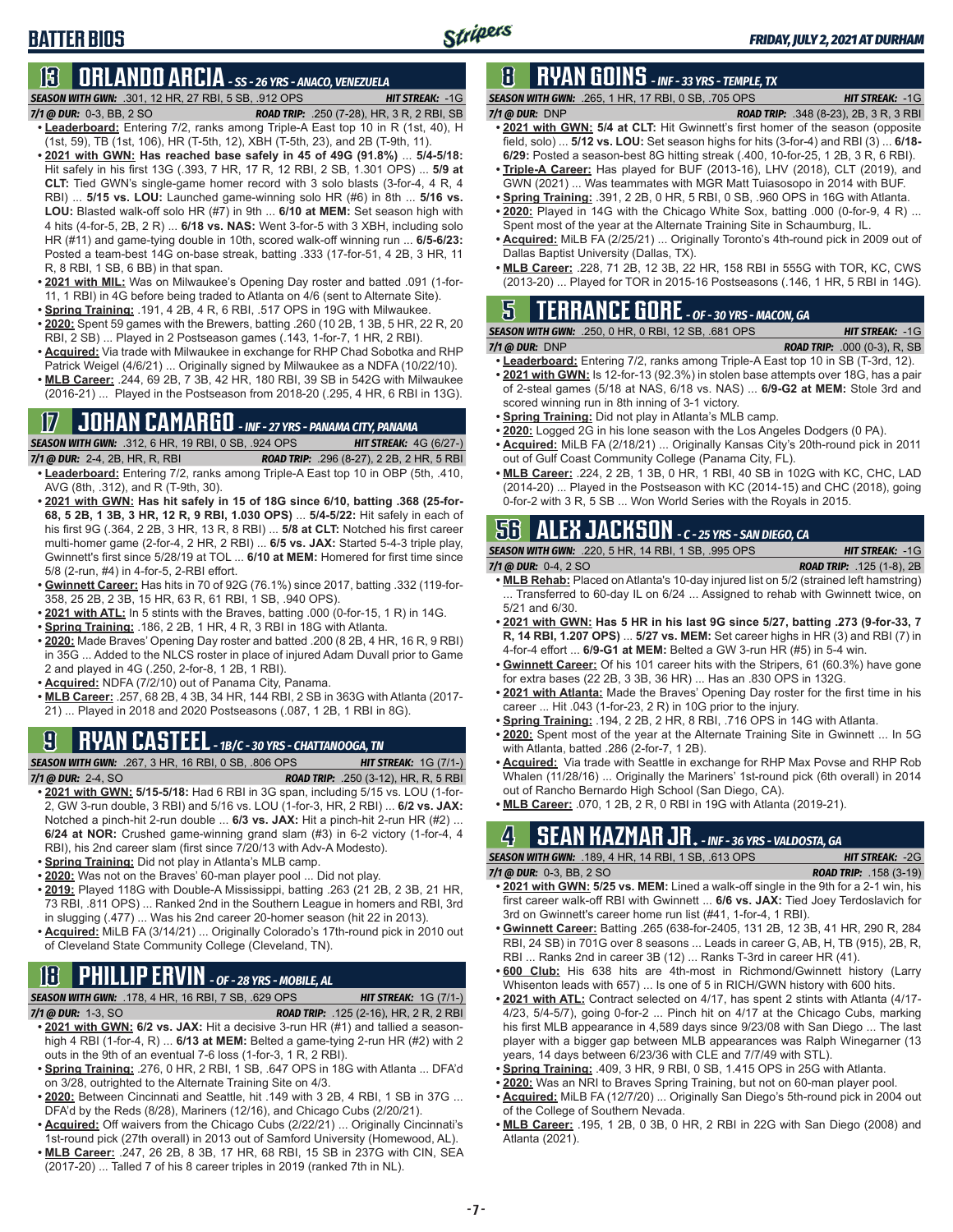# **13 ORLANDO ARCIA** *- SS - 26 YRS - ANACO, VENEZUELA*

*SEASON WITH GWN:*.301, 12 HR, 27 RBI, 5 SB, .912 OPS *HIT STREAK:* -1G *7/1 @ DUR:*0-3, BB, 2 SO *ROAD TRIP:* .250 (7-28), HR, 3 R, 2 RBI, SB

- **• Leaderboard:** Entering 7/2, ranks among Triple-A East top 10 in R (1st, 40), H (1st, 59), TB (1st, 106), HR (T-5th, 12), XBH (T-5th, 23), and 2B (T-9th, 11).
- **• 2021 with GWN: Has reached base safely in 45 of 49G (91.8%)** ... **5/4-5/18:**  Hit safely in his first 13G (.393, 7 HR, 17 R, 12 RBI, 2 SB, 1.301 OPS) ... **5/9 at CLT:** Tied GWN's single-game homer record with 3 solo blasts (3-for-4, 4 R, 4 RBI) ... **5/15 vs. LOU:** Launched game-winning solo HR (#6) in 8th ... **5/16 vs. LOU:** Blasted walk-off solo HR (#7) in 9th ... **6/10 at MEM:** Set season high with 4 hits (4-for-5, 2B, 2 R) ... **6/18 vs. NAS:** Went 3-for-5 with 3 XBH, including solo HR (#11) and game-tying double in 10th, scored walk-off winning run ... **6/5-6/23:**  Posted a team-best 14G on-base streak, batting .333 (17-for-51, 4 2B, 3 HR, 11 R, 8 RBI, 1 SB, 6 BB) in that span.
- **• 2021 with MIL:** Was on Milwaukee's Opening Day roster and batted .091 (1-for-11, 1 RBI) in 4G before being traded to Atlanta on 4/6 (sent to Alternate Site).
- **• Spring Training:** .191, 4 2B, 4 R, 6 RBI, .517 OPS in 19G with Milwaukee.
- **• 2020:** Spent 59 games with the Brewers, batting .260 (10 2B, 1 3B, 5 HR, 22 R, 20 RBI, 2 SB) ... Played in 2 Postseason games (.143, 1-for-7, 1 HR, 2 RBI).
- **• Acquired:** Via trade with Milwaukee in exchange for RHP Chad Sobotka and RHP Patrick Weigel (4/6/21) ... Originally signed by Milwaukee as a NDFA (10/22/10).
- **• MLB Career:** .244, 69 2B, 7 3B, 42 HR, 180 RBI, 39 SB in 542G with Milwaukee (2016-21) ... Played in the Postseason from 2018-20 (.295, 4 HR, 6 RBI in 13G).

# **17 JOHAN CAMARGO** *- INF - 27 YRS - PANAMA CITY, PANAMA*

*SEASON WITH GWN:*.312, 6 HR, 19 RBI, 0 SB, .924 OPS *HIT STREAK:* 4G (6/27-) *7/1 @ DUR:* 2-4, 2B, HR, R, RBI *ROAD TRIP:* .296 (8-27), 2 2B, 2 HR, 5 RBI **• Leaderboard:** Entering 7/2, ranks among Triple-A East top 10 in OBP (5th, .410,

- AVG (8th, .312), and R (T-9th, 30). **• 2021 with GWN: Has hit safely in 15 of 18G since 6/10, batting .368 (25-for-68, 5 2B, 1 3B, 3 HR, 12 R, 9 RBI, 1.030 OPS)** ... **5/4-5/22:** Hit safely in each of his first 9G (.364, 2 2B, 3 HR, 13 R, 8 RBI) ... **5/8 at CLT:** Notched his first career multi-homer game (2-for-4, 2 HR, 2 RBI) ... **6/5 vs. JAX:** Started 5-4-3 triple play, Gwinnett's first since 5/28/19 at TOL ... **6/10 at MEM:** Homered for first time since 5/8 (2-run, #4) in 4-for-5, 2-RBI effort.
- **• Gwinnett Career:** Has hits in 70 of 92G (76.1%) since 2017, batting .332 (119-for-358, 25 2B, 2 3B, 15 HR, 63 R, 61 RBI, 1 SB, .940 OPS).
- **• 2021 with ATL:** In 5 stints with the Braves, batting .000 (0-for-15, 1 R) in 14G.
- **• Spring Training:** .186, 2 2B, 1 HR, 4 R, 3 RBI in 18G with Atlanta.
- **• 2020:** Made Braves' Opening Day roster and batted .200 (8 2B, 4 HR, 16 R, 9 RBI) in 35G ... Added to the NLCS roster in place of injured Adam Duvall prior to Game 2 and played in 4G (.250, 2-for-8, 1 2B, 1 RBI).
- **• Acquired:** NDFA (7/2/10) out of Panama City, Panama.
- **• MLB Career:** .257, 68 2B, 4 3B, 34 HR, 144 RBI, 2 SB in 363G with Atlanta (2017- 21) ... Played in 2018 and 2020 Postseasons (.087, 1 2B, 1 RBI in 8G).

# **9 RYAN CASTEEL** *- 1B/C - 30 YRS - CHATTANOOGA, TN*

*SEASON WITH GWN:*.267, 3 HR, 16 RBI, 0 SB, .806 OPS *HIT STREAK:* 1G (7/1-) *7/1 @ DUR:*2-4, SO *ROAD TRIP:* .250 (3-12), HR, R, 5 RBI

- **• 2021 with GWN: 5/15-5/18:** Had 6 RBI in 3G span, including 5/15 vs. LOU (1-for-2, GW 3-run double, 3 RBI) and 5/16 vs. LOU (1-for-3, HR, 2 RBI) ... **6/2 vs. JAX:** Notched a pinch-hit 2-run double ... **6/3 vs. JAX:** Hit a pinch-hit 2-run HR (#2) ... **6/24 at NOR:** Crushed game-winning grand slam (#3) in 6-2 victory (1-for-4, 4 RBI), his 2nd career slam (first since 7/20/13 with Adv-A Modesto).
- **• Spring Training:** Did not play in Atlanta's MLB camp.
- **• 2020:** Was not on the Braves' 60-man player pool ... Did not play.
- **• 2019:** Played 118G with Double-A Mississippi, batting .263 (21 2B, 2 3B, 21 HR, 73 RBI, .811 OPS) ... Ranked 2nd in the Southern League in homers and RBI, 3rd in slugging (.477) ... Was his 2nd career 20-homer season (hit 22 in 2013).
- **• Acquired:** MiLB FA (3/14/21) ... Originally Colorado's 17th-round pick in 2010 out of Cleveland State Community College (Cleveland, TN).

# **18 PHILLIP ERVIN** *- OF - 28 YRS - MOBILE, AL*

*SEASON WITH GWN:*.178, 4 HR, 16 RBI, 7 SB, .629 OPS *HIT STREAK:* 1G (7/1-)

- *7/1 @ DUR:*1-3, SO *ROAD TRIP:* .125 (2-16), HR, 2 R, 2 RBI **• 2021 with GWN: 6/2 vs. JAX:** Hit a decisive 3-run HR (#1) and tallied a seasonhigh 4 RBI (1-for-4, R) ... **6/13 at MEM:** Belted a game-tying 2-run HR (#2) with 2 outs in the 9th of an eventual 7-6 loss (1-for-3, 1 R, 2 RBI).
- **• Spring Training:** .276, 0 HR, 2 RBI, 1 SB, .647 OPS in 18G with Atlanta ... DFA'd on 3/28, outrighted to the Alternate Training Site on 4/3.
- **• 2020:** Between Cincinnati and Seattle, hit .149 with 3 2B, 4 RBI, 1 SB in 37G ... DFA'd by the Reds (8/28), Mariners (12/16), and Chicago Cubs (2/20/21).
- **• Acquired:** Off waivers from the Chicago Cubs (2/22/21) ... Originally Cincinnati's 1st-round pick (27th overall) in 2013 out of Samford University (Homewood, AL).
- **• MLB Career:** .247, 26 2B, 8 3B, 17 HR, 68 RBI, 15 SB in 237G with CIN, SEA (2017-20) ... Talled 7 of his 8 career triples in 2019 (ranked 7th in NL).

## **8 RYAN GOINS** *- INF - 33 YRS - TEMPLE, TX SEASON WITH GWN:*.265, 1 HR, 17 RBI, 0 SB, .705 OPS *HIT STREAK:* -1G

- *7/1 @ DUR:*DNP *ROAD TRIP:* .348 (8-23), 2B, 3 R, 3 RBI **• 2021 with GWN: 5/4 at CLT:** Hit Gwinnett's first homer of the season (opposite field, solo) ... **5/12 vs. LOU:** Set season highs for hits (3-for-4) and RBI (3) ... **6/18-**
- **6/29:** Posted a season-best 8G hitting streak (.400, 10-for-25, 1 2B, 3 R, 6 RBI). **• Triple-A Career:** Has played for BUF (2013-16), LHV (2018), CLT (2019), and
- GWN (2021) ... Was teammates with MGR Matt Tuiasosopo in 2014 with BUF.
- **• Spring Training:** .391, 2 2B, 0 HR, 5 RBI, 0 SB, .960 OPS in 16G with Atlanta. **• 2020:** Played in 14G with the Chicago White Sox, batting .000 (0-for-9, 4 R) ...
- Spent most of the year at the Alternate Training Site in Schaumburg, IL.
- **• Acquired:** MiLB FA (2/25/21) ... Originally Toronto's 4th-round pick in 2009 out of Dallas Baptist University (Dallas, TX).
- **• MLB Career:** .228, 71 2B, 12 3B, 22 HR, 158 RBI in 555G with TOR, KC, CWS (2013-20) ... Played for TOR in 2015-16 Postseasons (.146, 1 HR, 5 RBI in 14G).

# **5 TERRANCE GORE** *- OF - 30 YRS - MACON, GA*

| <b>SEASON WITH GWN:</b> .250, 0 HR, 0 RBI, 12 SB, .681 OPS | <b>HIT STREAK: -1G</b>                |
|------------------------------------------------------------|---------------------------------------|
| 7/1 @ DUR: DNP                                             | <b>ROAD TRIP:</b> $.000(0-3)$ , R, SB |

- **• Leaderboard:** Entering 7/2, ranks among Triple-A East top 10 in SB (T-3rd, 12).
- **• 2021 with GWN:** Is 12-for-13 (92.3%) in stolen base attempts over 18G, has a pair of 2-steal games (5/18 at NAS, 6/18 vs. NAS) ... **6/9-G2 at MEM:** Stole 3rd and scored winning run in 8th inning of 3-1 victory.
- **• Spring Training:** Did not play in Atlanta's MLB camp.
- **• 2020:** Logged 2G in his lone season with the Los Angeles Dodgers (0 PA).
- **• Acquired:** MiLB FA (2/18/21) ... Originally Kansas City's 20th-round pick in 2011 out of Gulf Coast Community College (Panama City, FL).
- **• MLB Career:** .224, 2 2B, 1 3B, 0 HR, 1 RBI, 40 SB in 102G with KC, CHC, LAD (2014-20) ... Played in the Postseason with KC (2014-15) and CHC (2018), going 0-for-2 with 3 R, 5 SB ... Won World Series with the Royals in 2015.

# **56 ALEX JACKSON** *- C - 25 YRS - SAN DIEGO, CA*

*SEASON WITH GWN:*.220, 5 HR, 14 RBI, 1 SB, .995 OPS *HIT STREAK:* -1G *7/1 @ DUR:*0-4, 2 SO *ROAD TRIP:* .125 (1-8), 2B

- **• MLB Rehab:** Placed on Atlanta's 10-day injured list on 5/2 (strained left hamstring) ... Transferred to 60-day IL on 6/24 ... Assigned to rehab with Gwinnett twice, on 5/21 and 6/30.
- **• 2021 with GWN: Has 5 HR in his last 9G since 5/27, batting .273 (9-for-33, 7 R, 14 RBI, 1.207 OPS)** ... **5/27 vs. MEM:** Set career highs in HR (3) and RBI (7) in 4-for-4 effort ... **6/9-G1 at MEM:** Belted a GW 3-run HR (#5) in 5-4 win.
- **• Gwinnett Career:** Of his 101 career hits with the Stripers, 61 (60.3%) have gone for extra bases (22 2B, 3 3B, 36 HR) ... Has an .830 OPS in 132G.
- **• 2021 with Atlanta:** Made the Braves' Opening Day roster for the first time in his career ... Hit .043 (1-for-23, 2 R) in 10G prior to the injury.
- **• Spring Training:** .194, 2 2B, 2 HR, 8 RBI, .716 OPS in 14G with Atlanta.
- **• 2020:** Spent most of the year at the Alternate Training Site in Gwinnett ... In 5G with Atlanta, batted .286 (2-for-7, 1 2B).
- **• Acquired:** Via trade with Seattle in exchange for RHP Max Povse and RHP Rob Whalen (11/28/16) ... Originally the Mariners' 1st-round pick (6th overall) in 2014 out of Rancho Bernardo High School (San Diego, CA).
- **• MLB Career:** .070, 1 2B, 2 R, 0 RBI in 19G with Atlanta (2019-21).

# **4 SEAN KAZMAR JR.** *- INF - 36 YRS - VALDOSTA, GA*

*SEASON WITH GWN:*.189, 4 HR, 14 RBI, 1 SB, .613 OPS *HIT STREAK:* -2G

- *7/1 @ DUR:*0-3, BB, 2 SO *ROAD TRIP:* .158 (3-19)
- 
- **• 2021 with GWN: 5/25 vs. MEM:** Lined a walk-off single in the 9th for a 2-1 win, his first career walk-off RBI with Gwinnett ... **6/6 vs. JAX:** Tied Joey Terdoslavich for 3rd on Gwinnett's career home run list (#41, 1-for-4, 1 RBI).
- **• Gwinnett Career:** Batting .265 (638-for-2405, 131 2B, 12 3B, 41 HR, 290 R, 284 RBI, 24 SB) in 701G over 8 seasons ... Leads in career G, AB, H, TB (915), 2B, R, RBI ... Ranks 2nd in career 3B (12) ... Ranks T-3rd in career HR (41).
- **• 600 Club:** His 638 hits are 4th-most in Richmond/Gwinnett history (Larry Whisenton leads with 657) ... Is one of 5 in RICH/GWN history with 600 hits.
- **• 2021 with ATL:** Contract selected on 4/17, has spent 2 stints with Atlanta (4/17- 4/23, 5/4-5/7), going 0-for-2 ... Pinch hit on 4/17 at the Chicago Cubs, marking his first MLB appearance in 4,589 days since 9/23/08 with San Diego ... The last player with a bigger gap between MLB appearances was Ralph Winegarner (13 years, 14 days between 6/23/36 with CLE and 7/7/49 with STL).
- **• Spring Training:** .409, 3 HR, 9 RBI, 0 SB, 1.415 OPS in 25G with Atlanta.
- **• 2020:** Was an NRI to Braves Spring Training, but not on 60-man player pool.
- **• Acquired:** MiLB FA (12/7/20) ... Originally San Diego's 5th-round pick in 2004 out of the College of Southern Nevada.
- **• MLB Career:** .195, 1 2B, 0 3B, 0 HR, 2 RBI in 22G with San Diego (2008) and Atlanta (2021).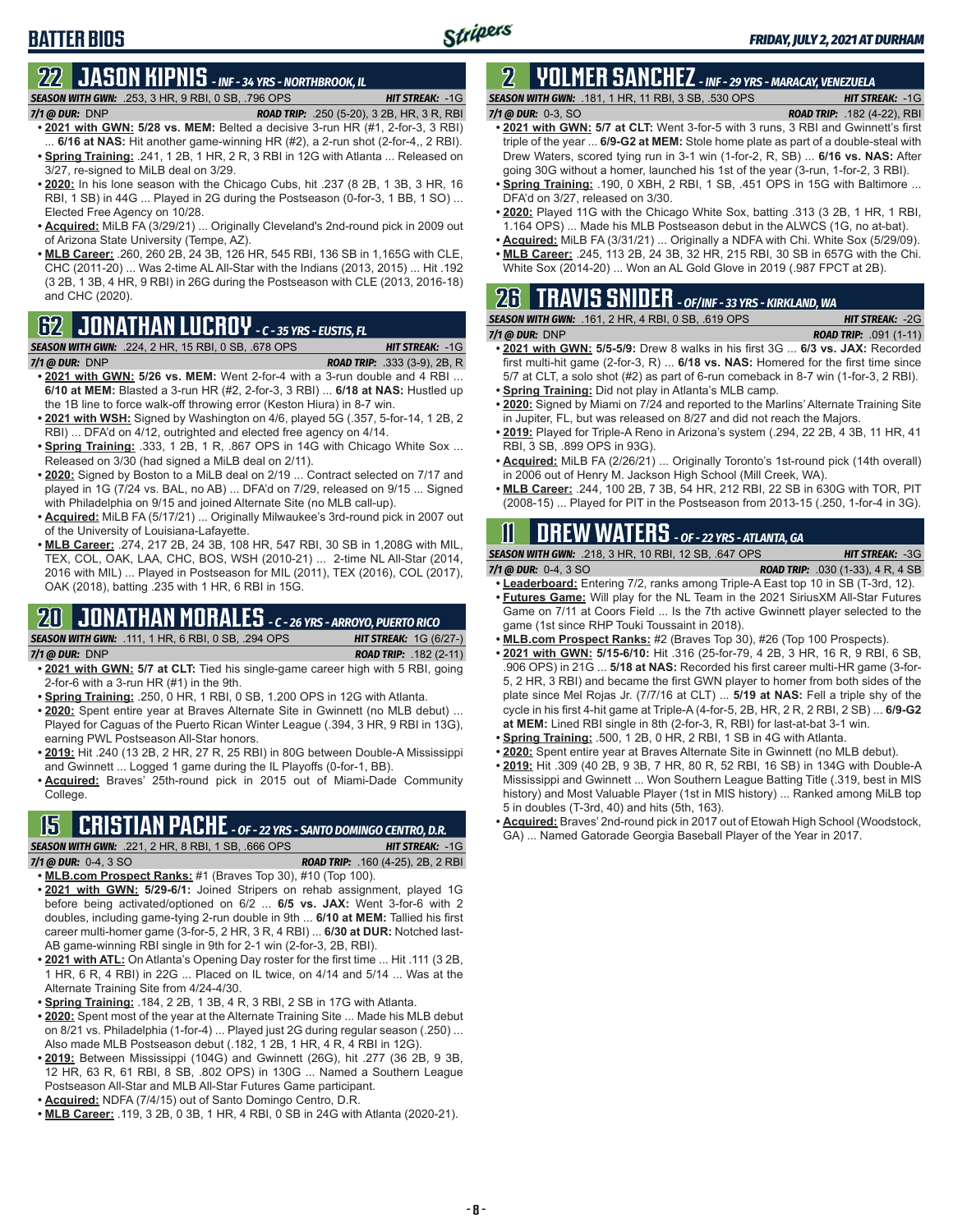# **BATTER BIOS**

## **22 JASON KIPNIS** *- INF - 34 YRS - NORTHBROOK, IL SEASON WITH GWN:*.253, 3 HR, 9 RBI, 0 SB, .796 OPS *HIT STREAK:* -1G

- *7/1 @ DUR:*DNP *ROAD TRIP:* .250 (5-20), 3 2B, HR, 3 R, RBI **• 2021 with GWN: 5/28 vs. MEM:** Belted a decisive 3-run HR (#1, 2-for-3, 3 RBI) 6/16 at NAS: Hit another game-winning HR (#2), a 2-run shot (2-for-4,, 2 RBI).
- **• Spring Training:** .241, 1 2B, 1 HR, 2 R, 3 RBI in 12G with Atlanta ... Released on 3/27, re-signed to MiLB deal on 3/29.
- **• 2020:** In his lone season with the Chicago Cubs, hit .237 (8 2B, 1 3B, 3 HR, 16 RBI, 1 SB) in 44G ... Played in 2G during the Postseason (0-for-3, 1 BB, 1 SO) ... Elected Free Agency on 10/28.
- **• Acquired:** MiLB FA (3/29/21) ... Originally Cleveland's 2nd-round pick in 2009 out of Arizona State University (Tempe, AZ).
- **• MLB Career:** .260, 260 2B, 24 3B, 126 HR, 545 RBI, 136 SB in 1,165G with CLE, CHC (2011-20) ... Was 2-time AL All-Star with the Indians (2013, 2015) ... Hit .192 (3 2B, 1 3B, 4 HR, 9 RBI) in 26G during the Postseason with CLE (2013, 2016-18) and CHC (2020).

# **62 JONATHAN LUCROY** *- C - 35 YRS - EUSTIS, FL*

*SEASON WITH GWN:*.224, 2 HR, 15 RBI, 0 SB, .678 OPS *HIT STREAK:* -1G

*7/1 @ DUR:*DNP *ROAD TRIP:* .333 (3-9), 2B, R

- **• 2021 with GWN: 5/26 vs. MEM:** Went 2-for-4 with a 3-run double and 4 RBI ... **6/10 at MEM:** Blasted a 3-run HR (#2, 2-for-3, 3 RBI) ... **6/18 at NAS:** Hustled up the 1B line to force walk-off throwing error (Keston Hiura) in 8-7 win.
- **• 2021 with WSH:** Signed by Washington on 4/6, played 5G (.357, 5-for-14, 1 2B, 2 RBI) ... DFA'd on 4/12, outrighted and elected free agency on 4/14.
- **• Spring Training:** .333, 1 2B, 1 R, .867 OPS in 14G with Chicago White Sox ... Released on 3/30 (had signed a MiLB deal on 2/11).
- **• 2020:** Signed by Boston to a MiLB deal on 2/19 ... Contract selected on 7/17 and played in 1G (7/24 vs. BAL, no AB) ... DFA'd on 7/29, released on 9/15 ... Signed with Philadelphia on 9/15 and joined Alternate Site (no MLB call-up).
- **• Acquired:** MiLB FA (5/17/21) ... Originally Milwaukee's 3rd-round pick in 2007 out of the University of Louisiana-Lafayette.
- **• MLB Career:** .274, 217 2B, 24 3B, 108 HR, 547 RBI, 30 SB in 1,208G with MIL, TEX, COL, OAK, LAA, CHC, BOS, WSH (2010-21) ... 2-time NL All-Star (2014, 2016 with MIL) ... Played in Postseason for MIL (2011), TEX (2016), COL (2017), OAK (2018), batting .235 with 1 HR, 6 RBI in 15G.

## **20 JONATHAN MORALES** *- C - 26 YRS - ARROYO, PUERTO RICO*

*SEASON WITH GWN:*.111, 1 HR, 6 RBI, 0 SB, .294 OPS *HIT STREAK:* 1G (6/27-)

- *7/1 @ DUR:*DNP *ROAD TRIP:* .182 (2-11) **• 2021 with GWN: 5/7 at CLT:** Tied his single-game career high with 5 RBI, going 2-for-6 with a 3-run HR (#1) in the 9th.
	- **• Spring Training:** .250, 0 HR, 1 RBI, 0 SB, 1.200 OPS in 12G with Atlanta.
- **• 2020:** Spent entire year at Braves Alternate Site in Gwinnett (no MLB debut) ... Played for Caguas of the Puerto Rican Winter League (.394, 3 HR, 9 RBI in 13G), earning PWL Postseason All-Star honors.
- **• 2019:** Hit .240 (13 2B, 2 HR, 27 R, 25 RBI) in 80G between Double-A Mississippi and Gwinnett ... Logged 1 game during the IL Playoffs (0-for-1, BB).
- **• Acquired:** Braves' 25th-round pick in 2015 out of Miami-Dade Community College.

### **15 CRISTIAN PACHE** *- OF - 22 YRS - SANTO DOMINGO CENTRO, D.R. SEASON WITH GWN:*.221, 2 HR, 8 RBI, 1 SB, .666 OPS *HIT STREAK:* -1G

- *7/1 @ DUR:* 0-4, 3 SO *ROAD TRIP:* .160 (4-25), 2B, 2 RBI **• MLB.com Prospect Ranks:** #1 (Braves Top 30), #10 (Top 100).
- **• 2021 with GWN: 5/29-6/1:** Joined Stripers on rehab assignment, played 1G before being activated/optioned on 6/2 ... **6/5 vs. JAX:** Went 3-for-6 with 2 doubles, including game-tying 2-run double in 9th ... **6/10 at MEM:** Tallied his first career multi-homer game (3-for-5, 2 HR, 3 R, 4 RBI) ... **6/30 at DUR:** Notched last-AB game-winning RBI single in 9th for 2-1 win (2-for-3, 2B, RBI).
- **• 2021 with ATL:** On Atlanta's Opening Day roster for the first time ... Hit .111 (3 2B, 1 HR, 6 R, 4 RBI) in 22G ... Placed on IL twice, on 4/14 and 5/14 ... Was at the Alternate Training Site from 4/24-4/30.
- **• Spring Training:** .184, 2 2B, 1 3B, 4 R, 3 RBI, 2 SB in 17G with Atlanta.
- **• 2020:** Spent most of the year at the Alternate Training Site ... Made his MLB debut on 8/21 vs. Philadelphia (1-for-4) ... Played just 2G during regular season (.250) ... Also made MLB Postseason debut (.182, 1 2B, 1 HR, 4 R, 4 RBI in 12G).
- **• 2019:** Between Mississippi (104G) and Gwinnett (26G), hit .277 (36 2B, 9 3B, 12 HR, 63 R, 61 RBI, 8 SB, .802 OPS) in 130G ... Named a Southern League Postseason All-Star and MLB All-Star Futures Game participant.
- **• Acquired:** NDFA (7/4/15) out of Santo Domingo Centro, D.R.
- **• MLB Career:** .119, 3 2B, 0 3B, 1 HR, 4 RBI, 0 SB in 24G with Atlanta (2020-21).

## **2 YOLMER SANCHEZ** *- INF - 29 YRS - MARACAY, VENEZUELA SEASON WITH GWN:*.181, 1 HR, 11 RBI, 3 SB, .530 OPS *HIT STREAK:* -1G

*7/1 @ DUR:*0-3, SO *ROAD TRIP:* .182 (4-22), RBI

- 
- **• 2021 with GWN: 5/7 at CLT:** Went 3-for-5 with 3 runs, 3 RBI and Gwinnett's first triple of the year ... **6/9-G2 at MEM:** Stole home plate as part of a double-steal with Drew Waters, scored tying run in 3-1 win (1-for-2, R, SB) ... **6/16 vs. NAS:** After going 30G without a homer, launched his 1st of the year (3-run, 1-for-2, 3 RBI).
- **• Spring Training:** .190, 0 XBH, 2 RBI, 1 SB, .451 OPS in 15G with Baltimore ... DFA'd on 3/27, released on 3/30.
- **• 2020:** Played 11G with the Chicago White Sox, batting .313 (3 2B, 1 HR, 1 RBI, 1.164 OPS) ... Made his MLB Postseason debut in the ALWCS (1G, no at-bat).
- **• Acquired:** MiLB FA (3/31/21) ... Originally a NDFA with Chi. White Sox (5/29/09).
- **• MLB Career:** .245, 113 2B, 24 3B, 32 HR, 215 RBI, 30 SB in 657G with the Chi. White Sox (2014-20) ... Won an AL Gold Glove in 2019 (.987 FPCT at 2B).

# **26 TRAVIS SNIDER** *- OF/INF - 33 YRS - KIRKLAND, WA*

| <b>SEASON WITH GWN: .161, 2 HR, 4 RBI, 0 SB, .619 OPS</b> | <b>HIT STREAK: -2G</b>         |
|-----------------------------------------------------------|--------------------------------|
| 7/1 @ DUR: DNP                                            | <b>ROAD TRIP:</b> $.091(1-11)$ |

- **• 2021 with GWN: 5/5-5/9:** Drew 8 walks in his first 3G ... **6/3 vs. JAX:** Recorded first multi-hit game (2-for-3, R) ... **6/18 vs. NAS:** Homered for the first time since 5/7 at CLT, a solo shot (#2) as part of 6-run comeback in 8-7 win (1-for-3, 2 RBI). **• Spring Training:** Did not play in Atlanta's MLB camp.
- **• 2020:** Signed by Miami on 7/24 and reported to the Marlins' Alternate Training Site
- in Jupiter, FL, but was released on 8/27 and did not reach the Majors.
- **• 2019:** Played for Triple-A Reno in Arizona's system (.294, 22 2B, 4 3B, 11 HR, 41 RBI, 3 SB, .899 OPS in 93G).
- **• Acquired:** MiLB FA (2/26/21) ... Originally Toronto's 1st-round pick (14th overall) in 2006 out of Henry M. Jackson High School (Mill Creek, WA).
- **• MLB Career:** .244, 100 2B, 7 3B, 54 HR, 212 RBI, 22 SB in 630G with TOR, PIT (2008-15) ... Played for PIT in the Postseason from 2013-15 (.250, 1-for-4 in 3G).

# **11 Drew WATERS** *- OF - 22 YRS - ATLANTA, GA*

*SEASON WITH GWN:*.218, 3 HR, 10 RBI, 12 SB, .647 OPS *HIT STREAK:* -3G

*7/1 @ DUR:*0-4, 3 SO *ROAD TRIP:* .030 (1-33), 4 R, 4 SB

- **• Leaderboard:** Entering 7/2, ranks among Triple-A East top 10 in SB (T-3rd, 12). **• Futures Game:** Will play for the NL Team in the 2021 SiriusXM All-Star Futures Game on 7/11 at Coors Field ... Is the 7th active Gwinnett player selected to the
- game (1st since RHP Touki Toussaint in 2018).
- **• MLB.com Prospect Ranks:** #2 (Braves Top 30), #26 (Top 100 Prospects).
- **• 2021 with GWN: 5/15-6/10:** Hit .316 (25-for-79, 4 2B, 3 HR, 16 R, 9 RBI, 6 SB, .906 OPS) in 21G ... **5/18 at NAS:** Recorded his first career multi-HR game (3-for-5, 2 HR, 3 RBI) and became the first GWN player to homer from both sides of the plate since Mel Rojas Jr. (7/7/16 at CLT) ... **5/19 at NAS:** Fell a triple shy of the cycle in his first 4-hit game at Triple-A (4-for-5, 2B, HR, 2 R, 2 RBI, 2 SB) ... **6/9-G2 at MEM:** Lined RBI single in 8th (2-for-3, R, RBI) for last-at-bat 3-1 win.
- **• Spring Training:** .500, 1 2B, 0 HR, 2 RBI, 1 SB in 4G with Atlanta.
- **• 2020:** Spent entire year at Braves Alternate Site in Gwinnett (no MLB debut).
- **• 2019:** Hit .309 (40 2B, 9 3B, 7 HR, 80 R, 52 RBI, 16 SB) in 134G with Double-A Mississippi and Gwinnett ... Won Southern League Batting Title (.319, best in MIS history) and Most Valuable Player (1st in MIS history) ... Ranked among MiLB top 5 in doubles (T-3rd, 40) and hits (5th, 163).
- **• Acquired:** Braves' 2nd-round pick in 2017 out of Etowah High School (Woodstock, GA) ... Named Gatorade Georgia Baseball Player of the Year in 2017.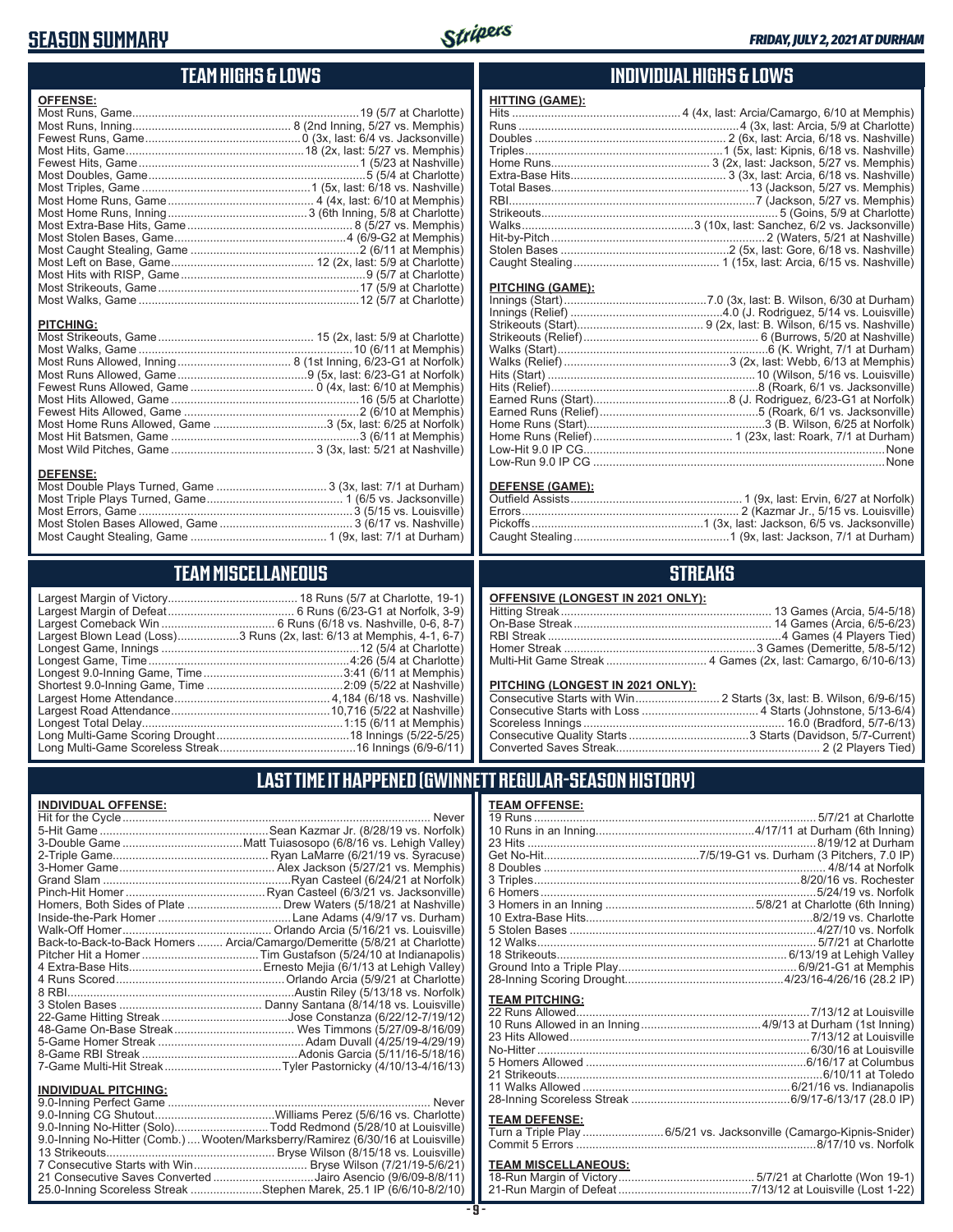## **SEASON SUMMARY**



## **TEAM HIGHS & LOWS**

| <b>OFFENSE:</b>                                                                                                                                                            |  |
|----------------------------------------------------------------------------------------------------------------------------------------------------------------------------|--|
|                                                                                                                                                                            |  |
|                                                                                                                                                                            |  |
|                                                                                                                                                                            |  |
|                                                                                                                                                                            |  |
|                                                                                                                                                                            |  |
|                                                                                                                                                                            |  |
|                                                                                                                                                                            |  |
|                                                                                                                                                                            |  |
|                                                                                                                                                                            |  |
|                                                                                                                                                                            |  |
|                                                                                                                                                                            |  |
|                                                                                                                                                                            |  |
|                                                                                                                                                                            |  |
|                                                                                                                                                                            |  |
|                                                                                                                                                                            |  |
|                                                                                                                                                                            |  |
|                                                                                                                                                                            |  |
| <b>PITCHING:</b>                                                                                                                                                           |  |
|                                                                                                                                                                            |  |
|                                                                                                                                                                            |  |
|                                                                                                                                                                            |  |
|                                                                                                                                                                            |  |
|                                                                                                                                                                            |  |
| $M_{\text{out}}$ iii $M_{\text{in}}$ iii $\Omega_{\text{out}}$ and $\Omega_{\text{out}}$ iii $M_{\text{out}}$ in $M_{\text{out}}$ iii $M_{\text{out}}$ in $M_{\text{out}}$ |  |

Most Hits Allowed, Game ..........................................................16 (5/5 at Charlotte) Fewest Hits Allowed, Game ......................................................2 (6/10 at Memphis) Most Home Runs Allowed, Game ...................................3 (5x, last: 6/25 at Norfolk) Most Hit Batsmen, Game ..........................................................3 (6/11 at Memphis) Most Wild Pitches, Game ............................................ 3 (3x, last: 5/21 at Nashville)

#### **DEFENSE:**

| Most Double Plays Turned, Game  3 (3x, last: 7/1 at Durham) |  |
|-------------------------------------------------------------|--|
|                                                             |  |
|                                                             |  |
|                                                             |  |
|                                                             |  |
|                                                             |  |

## **TEAM MISCELLANEOUS**

| Largest Blown Lead (Loss)3 Runs (2x, last: 6/13 at Memphis, 4-1, 6-7) |
|-----------------------------------------------------------------------|
|                                                                       |
|                                                                       |
|                                                                       |
|                                                                       |
|                                                                       |
|                                                                       |
|                                                                       |
|                                                                       |
|                                                                       |

## **INDIVIDUAL HIGHS & LOWS**

| <b>HITTING (GAME):</b> |  |
|------------------------|--|
|                        |  |
|                        |  |
|                        |  |
|                        |  |
|                        |  |
|                        |  |
|                        |  |
|                        |  |
|                        |  |
|                        |  |
|                        |  |
|                        |  |
|                        |  |
|                        |  |

#### **PITCHING (GAME):**

#### **DEFENSE (GAME):**

## **STREAKS**

| OFFENSIVE (LONGEST IN 2021 ONLY): |  |  |
|-----------------------------------|--|--|
|-----------------------------------|--|--|

#### **PITCHING (LONGEST IN 2021 ONLY):**

## **LAST TIME IT HAPPENED (GWINNETT REGULAR-SEASON HISTORY)**

#### **INDIVIDUAL OFFENSE:**

|                         | Back-to-Back-to-Back Homers  Arcia/Camargo/Demeritte (5/8/21 at Charlotte) |
|-------------------------|----------------------------------------------------------------------------|
|                         |                                                                            |
|                         |                                                                            |
|                         |                                                                            |
|                         |                                                                            |
|                         |                                                                            |
|                         |                                                                            |
|                         |                                                                            |
|                         |                                                                            |
|                         |                                                                            |
|                         |                                                                            |
| INDIVIDUAL PITCHING:    |                                                                            |
| 9 0-Inning Perfect Game | Never                                                                      |

| 9.0-Inning No-Hitter (Solo)Todd Redmond (5/28/10 at Louisville)                 |
|---------------------------------------------------------------------------------|
| 9.0-Inning No-Hitter (Comb.)  Wooten/Marksberry/Ramirez (6/30/16 at Louisville) |
|                                                                                 |
|                                                                                 |
| 21 Consecutive Saves Converted Jairo Asencio (9/6/09-8/8/11)                    |
| 25.0-Inning Scoreless Streak Stephen Marek, 25.1 IP (6/6/10-8/2/10)             |
|                                                                                 |

| <b>TEAM OFFENSE:</b>  |  |
|-----------------------|--|
|                       |  |
|                       |  |
|                       |  |
|                       |  |
|                       |  |
|                       |  |
|                       |  |
|                       |  |
|                       |  |
|                       |  |
|                       |  |
|                       |  |
|                       |  |
|                       |  |
| <b>TEAM PITCHING:</b> |  |

#### **TEAM DEFENSE:**

|  | Turn a Triple Play 6/5/21 vs. Jacksonville (Camargo-Kipnis-Snider) |
|--|--------------------------------------------------------------------|
|  |                                                                    |

# **TEAM MISCELLANEOUS:**<br>18-Run Margin of Victory....

| 21-Run Margin of Defeat…………………………………7/13/12 at Louisville (Lost 1-22) |
|-----------------------------------------------------------------------|